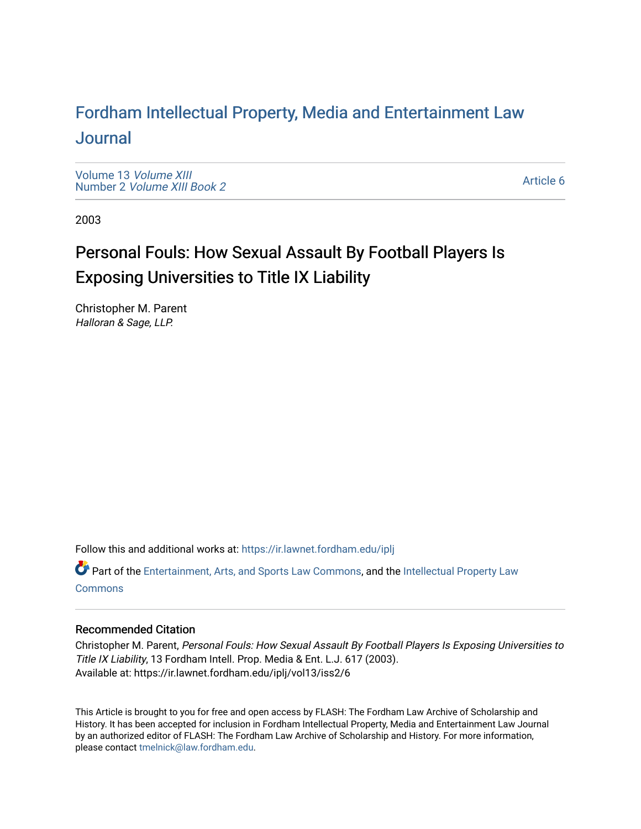# For[dham Intellectual Property, Media and Enter](https://ir.lawnet.fordham.edu/iplj)tainment Law [Journal](https://ir.lawnet.fordham.edu/iplj)

[Volume 13](https://ir.lawnet.fordham.edu/iplj/vol13) Volume XIII Number 2 [Volume XIII Book 2](https://ir.lawnet.fordham.edu/iplj/vol13/iss2)

[Article 6](https://ir.lawnet.fordham.edu/iplj/vol13/iss2/6) 

2003

# Personal Fouls: How Sexual Assault By Football Players Is Exposing Universities to Title IX Liability

Christopher M. Parent Halloran & Sage, LLP.

Follow this and additional works at: [https://ir.lawnet.fordham.edu/iplj](https://ir.lawnet.fordham.edu/iplj?utm_source=ir.lawnet.fordham.edu%2Fiplj%2Fvol13%2Fiss2%2F6&utm_medium=PDF&utm_campaign=PDFCoverPages) 

Part of the [Entertainment, Arts, and Sports Law Commons](http://network.bepress.com/hgg/discipline/893?utm_source=ir.lawnet.fordham.edu%2Fiplj%2Fvol13%2Fiss2%2F6&utm_medium=PDF&utm_campaign=PDFCoverPages), and the [Intellectual Property Law](http://network.bepress.com/hgg/discipline/896?utm_source=ir.lawnet.fordham.edu%2Fiplj%2Fvol13%2Fiss2%2F6&utm_medium=PDF&utm_campaign=PDFCoverPages) **[Commons](http://network.bepress.com/hgg/discipline/896?utm_source=ir.lawnet.fordham.edu%2Fiplj%2Fvol13%2Fiss2%2F6&utm_medium=PDF&utm_campaign=PDFCoverPages)** 

# Recommended Citation

Christopher M. Parent, Personal Fouls: How Sexual Assault By Football Players Is Exposing Universities to Title IX Liability, 13 Fordham Intell. Prop. Media & Ent. L.J. 617 (2003). Available at: https://ir.lawnet.fordham.edu/iplj/vol13/iss2/6

This Article is brought to you for free and open access by FLASH: The Fordham Law Archive of Scholarship and History. It has been accepted for inclusion in Fordham Intellectual Property, Media and Entertainment Law Journal by an authorized editor of FLASH: The Fordham Law Archive of Scholarship and History. For more information, please contact [tmelnick@law.fordham.edu](mailto:tmelnick@law.fordham.edu).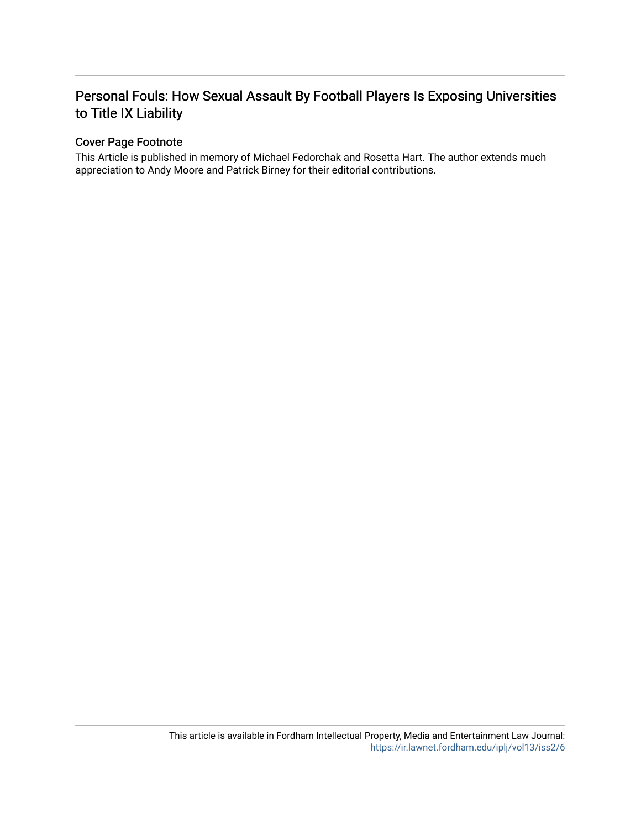# Personal Fouls: How Sexual Assault By Football Players Is Exposing Universities to Title IX Liability

# Cover Page Footnote

This Article is published in memory of Michael Fedorchak and Rosetta Hart. The author extends much appreciation to Andy Moore and Patrick Birney for their editorial contributions.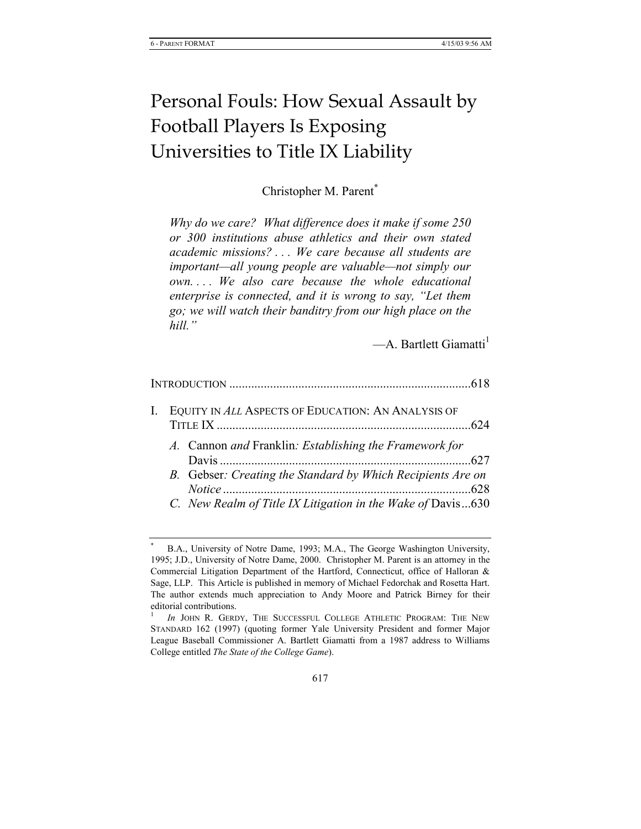# Personal Fouls: How Sexual Assault by Football Players Is Exposing Universities to Title IX Liability

# Christopher M. Parent**\***

*Why do we care? What difference does it make if some 250 or 300 institutions abuse athletics and their own stated academic missions? . . . We care because all students are important—all young people are valuable—not simply our own. . . . We also care because the whole educational enterprise is connected, and it is wrong to say, "Let them go; we will watch their banditry from our high place on the hill."* 

 $-A$ . Bartlett Giamatti<sup>1</sup>

| $\mathbf{I}$ | EQUITY IN ALL ASPECTS OF EDUCATION: AN ANALYSIS OF          |  |
|--------------|-------------------------------------------------------------|--|
|              | A. Cannon and Franklin: Establishing the Framework for      |  |
|              | B. Gebser: Creating the Standard by Which Recipients Are on |  |
|              | C. New Realm of Title IX Litigation in the Wake of Davis630 |  |

<sup>\*</sup> B.A., University of Notre Dame, 1993; M.A., The George Washington University, 1995; J.D., University of Notre Dame, 2000. Christopher M. Parent is an attorney in the Commercial Litigation Department of the Hartford, Connecticut, office of Halloran & Sage, LLP. This Article is published in memory of Michael Fedorchak and Rosetta Hart. The author extends much appreciation to Andy Moore and Patrick Birney for their editorial contributions.

<sup>1</sup>  *In* JOHN R. GERDY, THE SUCCESSFUL COLLEGE ATHLETIC PROGRAM: THE NEW STANDARD 162 (1997) (quoting former Yale University President and former Major League Baseball Commissioner A. Bartlett Giamatti from a 1987 address to Williams College entitled *The State of the College Game*).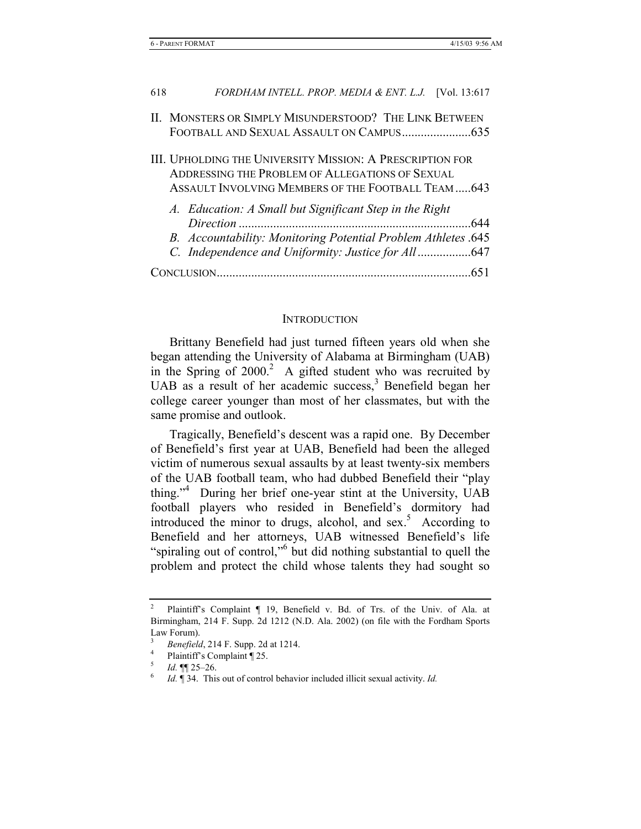| 618                                                                                                                                                                       | FORDHAM INTELL. PROP. MEDIA & ENT. L.J. [Vol. 13:617                                                                     |  |
|---------------------------------------------------------------------------------------------------------------------------------------------------------------------------|--------------------------------------------------------------------------------------------------------------------------|--|
|                                                                                                                                                                           | II. MONSTERS OR SIMPLY MISUNDERSTOOD? THE LINK BETWEEN                                                                   |  |
| <b>III. UPHOLDING THE UNIVERSITY MISSION: A PRESCRIPTION FOR</b><br>ADDRESSING THE PROBLEM OF ALLEGATIONS OF SEXUAL<br>ASSAULT INVOLVING MEMBERS OF THE FOOTBALL TEAM 643 |                                                                                                                          |  |
|                                                                                                                                                                           | A. Education: A Small but Significant Step in the Right<br>B. Accountability: Monitoring Potential Problem Athletes .645 |  |
|                                                                                                                                                                           | 651                                                                                                                      |  |

#### INTRODUCTION

Brittany Benefield had just turned fifteen years old when she began attending the University of Alabama at Birmingham (UAB) in the Spring of  $2000<sup>2</sup>$  A gifted student who was recruited by UAB as a result of her academic success,<sup>3</sup> Benefield began her college career younger than most of her classmates, but with the same promise and outlook.

Tragically, Benefield's descent was a rapid one. By December of Benefield's first year at UAB, Benefield had been the alleged victim of numerous sexual assaults by at least twenty-six members of the UAB football team, who had dubbed Benefield their "play thing."<sup>4</sup> During her brief one-year stint at the University, UAB football players who resided in Benefield's dormitory had introduced the minor to drugs, alcohol, and sex. $5$  According to Benefield and her attorneys, UAB witnessed Benefield's life "spiraling out of control,"<sup>6</sup> but did nothing substantial to quell the problem and protect the child whose talents they had sought so

<sup>2</sup> Plaintiff's Complaint ¶ 19, Benefield v. Bd. of Trs. of the Univ. of Ala. at Birmingham, 214 F. Supp. 2d 1212 (N.D. Ala. 2002) (on file with the Fordham Sports Law Forum).

<sup>3</sup> <sup>3</sup> *Benefield*, 214 F. Supp. 2d at 1214.

Plaintiff's Complaint ¶ 25.

<sup>5</sup> *Id.*  $\P\P$  25–26.

*Id.* ¶ 34. This out of control behavior included illicit sexual activity. *Id.*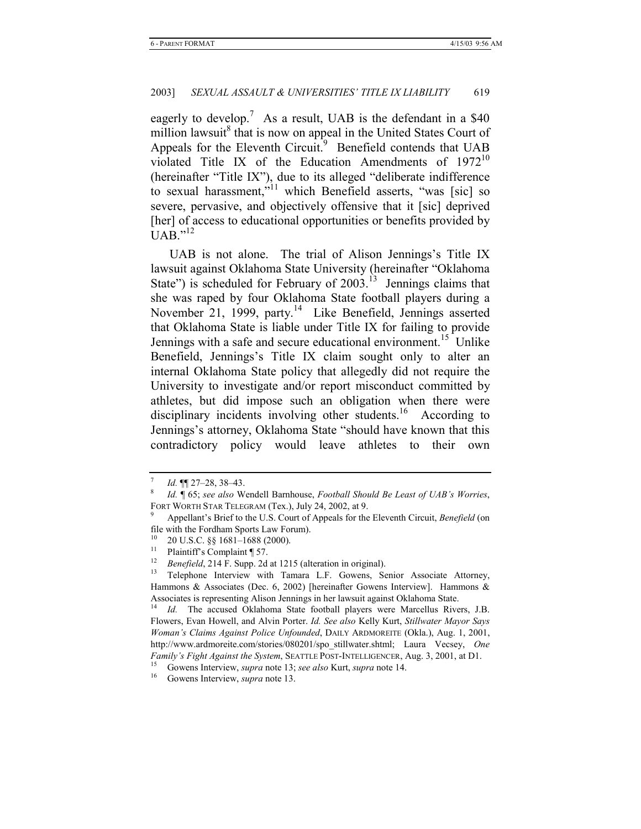eagerly to develop.<sup>7</sup> As a result, UAB is the defendant in a \$40 million lawsuit<sup>8</sup> that is now on appeal in the United States Court of Appeals for the Eleventh Circuit. $9$  Benefield contends that UAB violated Title IX of the Education Amendments of  $1972^{10}$ (hereinafter "Title IX"), due to its alleged "deliberate indifference to sexual harassment,"<sup>11</sup> which Benefield asserts, "was [sic] so severe, pervasive, and objectively offensive that it [sic] deprived [her] of access to educational opportunities or benefits provided by  $UAB.$ <sup> $,12$ </sup>

UAB is not alone. The trial of Alison Jennings's Title IX lawsuit against Oklahoma State University (hereinafter "Oklahoma State") is scheduled for February of  $2003$ <sup>13</sup> Jennings claims that she was raped by four Oklahoma State football players during a November 21, 1999, party.<sup>14</sup> Like Benefield, Jennings asserted that Oklahoma State is liable under Title IX for failing to provide Jennings with a safe and secure educational environment.<sup>15</sup> Unlike Benefield, Jennings's Title IX claim sought only to alter an internal Oklahoma State policy that allegedly did not require the University to investigate and/or report misconduct committed by athletes, but did impose such an obligation when there were disciplinary incidents involving other students.<sup>16</sup> According to Jennings's attorney, Oklahoma State "should have known that this contradictory policy would leave athletes to their own

<sup>7</sup> *Id.*  $\P$ <sup> $27-28$ , 38-43.</sup>

*Id.* ¶ 65; *see also* Wendell Barnhouse, *Football Should Be Least of UAB's Worries*, FORT WORTH STAR TELEGRAM (Tex.), July 24, 2002, at 9.

Appellant's Brief to the U.S. Court of Appeals for the Eleventh Circuit, *Benefield* (on file with the Fordham Sports Law Forum).

<sup>&</sup>lt;sup>10</sup> 20 U.S.C. §§ 1681–1688 (2000).<br><sup>11</sup> Plaintiff's Complaint **5.7** 

<sup>&</sup>lt;sup>11</sup> Plaintiff's Complaint ¶ 57.<br><sup>12</sup> Panefield 214 E. Supp. 2d

<sup>&</sup>lt;sup>12</sup> Benefield, 214 F. Supp. 2d at 1215 (alteration in original).<br><sup>13</sup> Telephone Interview with Tamara L.F. Gowens, Senior Associate Attorney, Hammons & Associates (Dec. 6, 2002) [hereinafter Gowens Interview]. Hammons & Associates is representing Alison Jennings in her lawsuit against Oklahoma State.

<sup>1</sup>d. The accused Oklahoma State football players were Marcellus Rivers, J.B. Flowers, Evan Howell, and Alvin Porter. *Id. See also* Kelly Kurt, *Stillwater Mayor Says Woman's Claims Against Police Unfounded*, DAILY ARDMOREITE (Okla.), Aug. 1, 2001, http://www.ardmoreite.com/stories/080201/spo\_stillwater.shtml; Laura Vecsey, *One Family's Fight Against the System*, SEATTLE POST-INTELLIGENCER, Aug. 3, 2001, at D1. 15 Gowens Interview, *supra* note 13; *see also* Kurt, *supra* note 14. 16 Gowens Interview, *supra* note 13.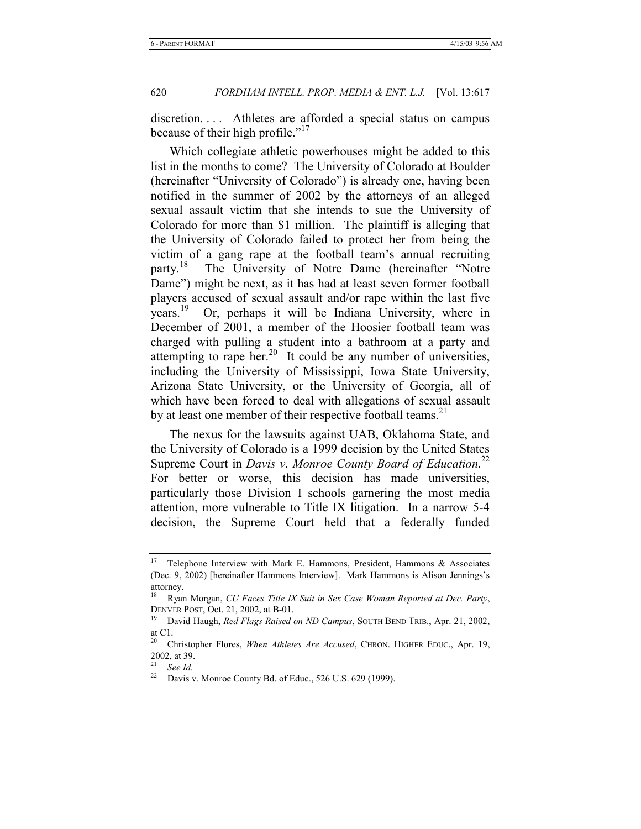discretion. . . . Athletes are afforded a special status on campus because of their high profile."<sup>17</sup>

Which collegiate athletic powerhouses might be added to this list in the months to come? The University of Colorado at Boulder (hereinafter "University of Colorado") is already one, having been notified in the summer of 2002 by the attorneys of an alleged sexual assault victim that she intends to sue the University of Colorado for more than \$1 million. The plaintiff is alleging that the University of Colorado failed to protect her from being the victim of a gang rape at the football team's annual recruiting party.<sup>18</sup> The University of Notre Dame (hereinafter "Notre Dame") might be next, as it has had at least seven former football players accused of sexual assault and/or rape within the last five years.19 Or, perhaps it will be Indiana University, where in December of 2001, a member of the Hoosier football team was charged with pulling a student into a bathroom at a party and attempting to rape her.<sup>20</sup> It could be any number of universities, including the University of Mississippi, Iowa State University, Arizona State University, or the University of Georgia, all of which have been forced to deal with allegations of sexual assault by at least one member of their respective football teams.<sup>21</sup>

The nexus for the lawsuits against UAB, Oklahoma State, and the University of Colorado is a 1999 decision by the United States Supreme Court in *Davis v. Monroe County Board of Education*. 22 For better or worse, this decision has made universities, particularly those Division I schools garnering the most media attention, more vulnerable to Title IX litigation. In a narrow 5-4 decision, the Supreme Court held that a federally funded

<sup>&</sup>lt;sup>17</sup> Telephone Interview with Mark E. Hammons, President, Hammons & Associates (Dec. 9, 2002) [hereinafter Hammons Interview]. Mark Hammons is Alison Jennings's attorney.

<sup>18</sup> Ryan Morgan, *CU Faces Title IX Suit in Sex Case Woman Reported at Dec. Party*, DENVER POST, Oct. 21, 2002, at B-01.<br><sup>19</sup> David Haugh, *Red Flags Raised on ND Campus*, SOUTH BEND TRIB., Apr. 21, 2002,

at C1.

<sup>20</sup> Christopher Flores, *When Athletes Are Accused*, CHRON. HIGHER EDUC., Apr. 19, 2002, at 39.

 $\frac{21}{22}$  *See Id.* 

Davis v. Monroe County Bd. of Educ., 526 U.S. 629 (1999).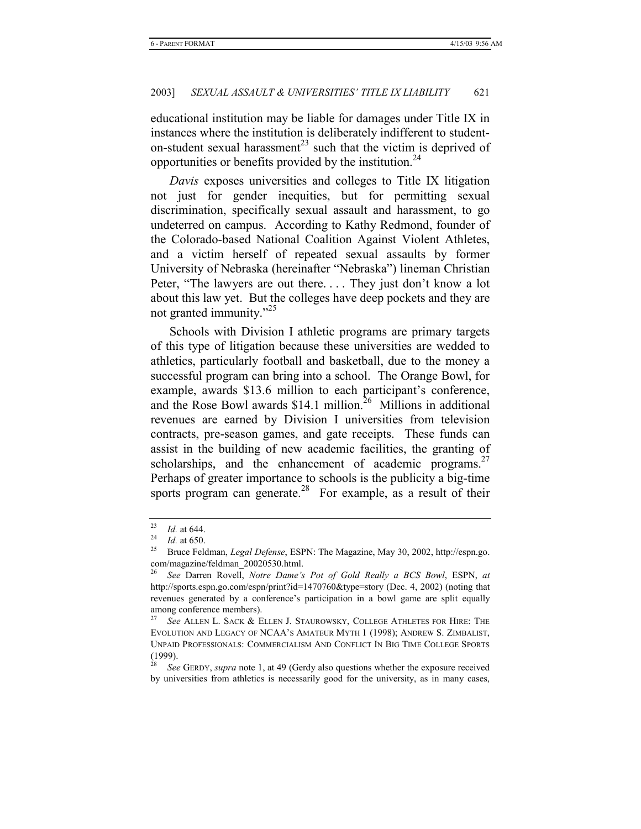educational institution may be liable for damages under Title IX in instances where the institution is deliberately indifferent to studenton-student sexual harassment<sup>23</sup> such that the victim is deprived of opportunities or benefits provided by the institution.<sup>24</sup>

*Davis* exposes universities and colleges to Title IX litigation not just for gender inequities, but for permitting sexual discrimination, specifically sexual assault and harassment, to go undeterred on campus. According to Kathy Redmond, founder of the Colorado-based National Coalition Against Violent Athletes, and a victim herself of repeated sexual assaults by former University of Nebraska (hereinafter "Nebraska") lineman Christian Peter, "The lawyers are out there. . . . They just don't know a lot about this law yet. But the colleges have deep pockets and they are not granted immunity."<sup>25</sup>

Schools with Division I athletic programs are primary targets of this type of litigation because these universities are wedded to athletics, particularly football and basketball, due to the money a successful program can bring into a school. The Orange Bowl, for example, awards \$13.6 million to each participant's conference, and the Rose Bowl awards  $$14.1$  million.<sup>26</sup> Millions in additional revenues are earned by Division I universities from television contracts, pre-season games, and gate receipts. These funds can assist in the building of new academic facilities, the granting of scholarships, and the enhancement of academic programs. $27$ Perhaps of greater importance to schools is the publicity a big-time sports program can generate.<sup>28</sup> For example, as a result of their

<sup>23</sup> *Id.* at 644. 24 *Id.* at 650. 25 Bruce Feldman, *Legal Defense*, ESPN: The Magazine, May 30, 2002, http://espn.go. com/magazine/feldman\_20020530.html.

<sup>26</sup> *See* Darren Rovell, *Notre Dame's Pot of Gold Really a BCS Bowl*, ESPN, *at* http://sports.espn.go.com/espn/print?id=1470760&type=story (Dec. 4, 2002) (noting that revenues generated by a conference's participation in a bowl game are split equally among conference members).

See ALLEN L. SACK & ELLEN J. STAUROWSKY, COLLEGE ATHLETES FOR HIRE: THE EVOLUTION AND LEGACY OF NCAA'S AMATEUR MYTH 1 (1998); ANDREW S. ZIMBALIST, UNPAID PROFESSIONALS: COMMERCIALISM AND CONFLICT IN BIG TIME COLLEGE SPORTS (1999).

<sup>28</sup> *See* GERDY, *supra* note 1, at 49 (Gerdy also questions whether the exposure received by universities from athletics is necessarily good for the university, as in many cases,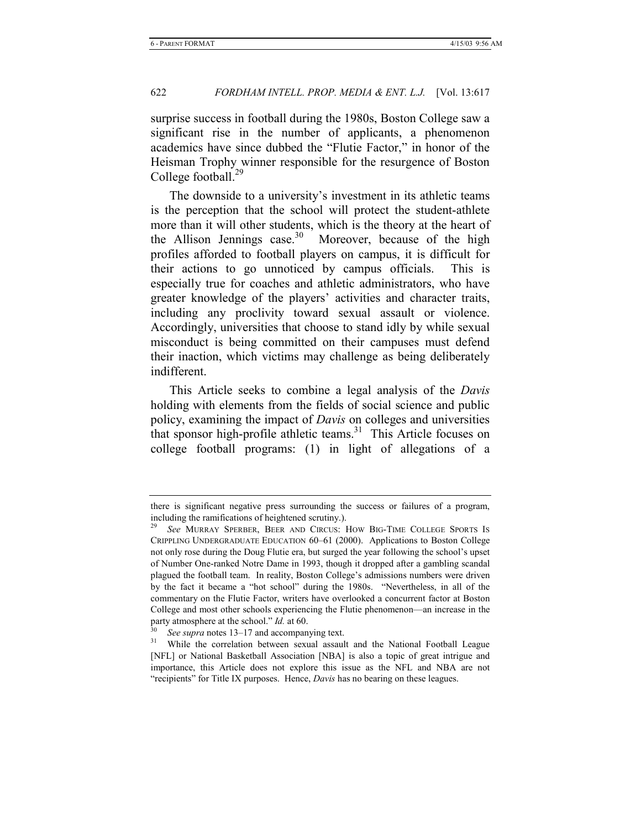surprise success in football during the 1980s, Boston College saw a significant rise in the number of applicants, a phenomenon academics have since dubbed the "Flutie Factor," in honor of the Heisman Trophy winner responsible for the resurgence of Boston College football. $^{29}$ 

The downside to a university's investment in its athletic teams is the perception that the school will protect the student-athlete more than it will other students, which is the theory at the heart of the Allison Jennings case.<sup>30</sup> Moreover, because of the high profiles afforded to football players on campus, it is difficult for their actions to go unnoticed by campus officials. This is especially true for coaches and athletic administrators, who have greater knowledge of the players' activities and character traits, including any proclivity toward sexual assault or violence. Accordingly, universities that choose to stand idly by while sexual misconduct is being committed on their campuses must defend their inaction, which victims may challenge as being deliberately indifferent.

This Article seeks to combine a legal analysis of the *Davis* holding with elements from the fields of social science and public policy, examining the impact of *Davis* on colleges and universities that sponsor high-profile athletic teams. $31$  This Article focuses on college football programs: (1) in light of allegations of a

there is significant negative press surrounding the success or failures of a program, including the ramifications of heightened scrutiny.).

<sup>29</sup> *See* MURRAY SPERBER, BEER AND CIRCUS: HOW BIG-TIME COLLEGE SPORTS IS CRIPPLING UNDERGRADUATE EDUCATION 60–61 (2000). Applications to Boston College not only rose during the Doug Flutie era, but surged the year following the school's upset of Number One-ranked Notre Dame in 1993, though it dropped after a gambling scandal plagued the football team. In reality, Boston College's admissions numbers were driven by the fact it became a "hot school" during the 1980s. "Nevertheless, in all of the commentary on the Flutie Factor, writers have overlooked a concurrent factor at Boston College and most other schools experiencing the Flutie phenomenon—an increase in the party atmosphere at the school." *Id.* at 60.<br><sup>30</sup> See supra notes 13–17 and accompanying text.<br><sup>31</sup> While the correlation between sexual assault and the National Football League

<sup>[</sup>NFL] or National Basketball Association [NBA] is also a topic of great intrigue and importance, this Article does not explore this issue as the NFL and NBA are not "recipients" for Title IX purposes. Hence, *Davis* has no bearing on these leagues.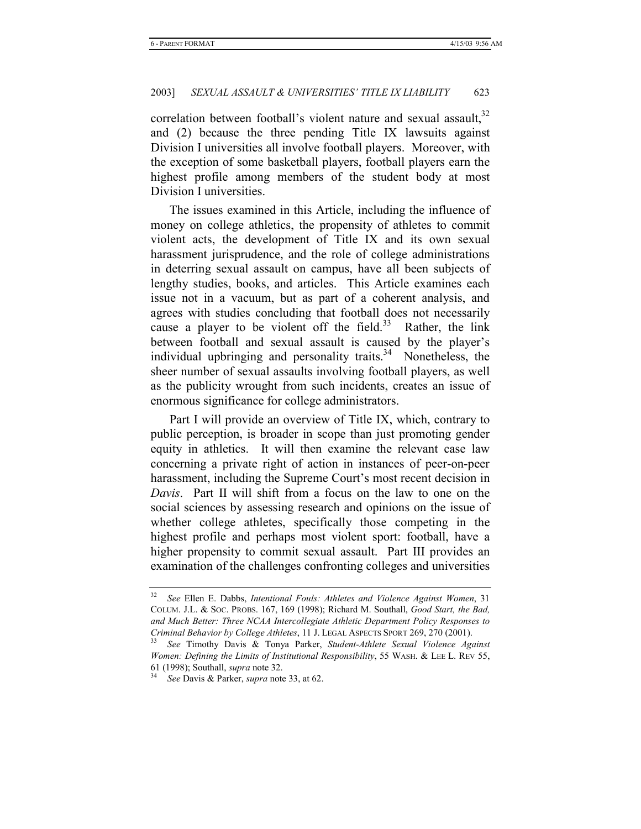correlation between football's violent nature and sexual assault,<sup>32</sup> and (2) because the three pending Title IX lawsuits against Division I universities all involve football players. Moreover, with the exception of some basketball players, football players earn the highest profile among members of the student body at most Division I universities.

The issues examined in this Article, including the influence of money on college athletics, the propensity of athletes to commit violent acts, the development of Title IX and its own sexual harassment jurisprudence, and the role of college administrations in deterring sexual assault on campus, have all been subjects of lengthy studies, books, and articles. This Article examines each issue not in a vacuum, but as part of a coherent analysis, and agrees with studies concluding that football does not necessarily cause a player to be violent off the field.<sup>33</sup> Rather, the link between football and sexual assault is caused by the player's individual upbringing and personality traits. $34$  Nonetheless, the sheer number of sexual assaults involving football players, as well as the publicity wrought from such incidents, creates an issue of enormous significance for college administrators.

Part I will provide an overview of Title IX, which, contrary to public perception, is broader in scope than just promoting gender equity in athletics. It will then examine the relevant case law concerning a private right of action in instances of peer-on-peer harassment, including the Supreme Court's most recent decision in *Davis*. Part II will shift from a focus on the law to one on the social sciences by assessing research and opinions on the issue of whether college athletes, specifically those competing in the highest profile and perhaps most violent sport: football, have a higher propensity to commit sexual assault. Part III provides an examination of the challenges confronting colleges and universities

<sup>32</sup> *See* Ellen E. Dabbs, *Intentional Fouls: Athletes and Violence Against Women*, 31 COLUM. J.L. & SOC. PROBS. 167, 169 (1998); Richard M. Southall, *Good Start, the Bad, and Much Better: Three NCAA Intercollegiate Athletic Department Policy Responses to Criminal Behavior by College Athletes*, 11 J. LEGAL ASPECTS SPORT 269, 270 (2001). 33 *See* Timothy Davis & Tonya Parker, *Student-Athlete Sexual Violence Against* 

*Women: Defining the Limits of Institutional Responsibility*, 55 WASH. & LEE L. REV 55, 61 (1998); Southall, *supra* note 32. 34 *See* Davis & Parker, *supra* note 33, at 62.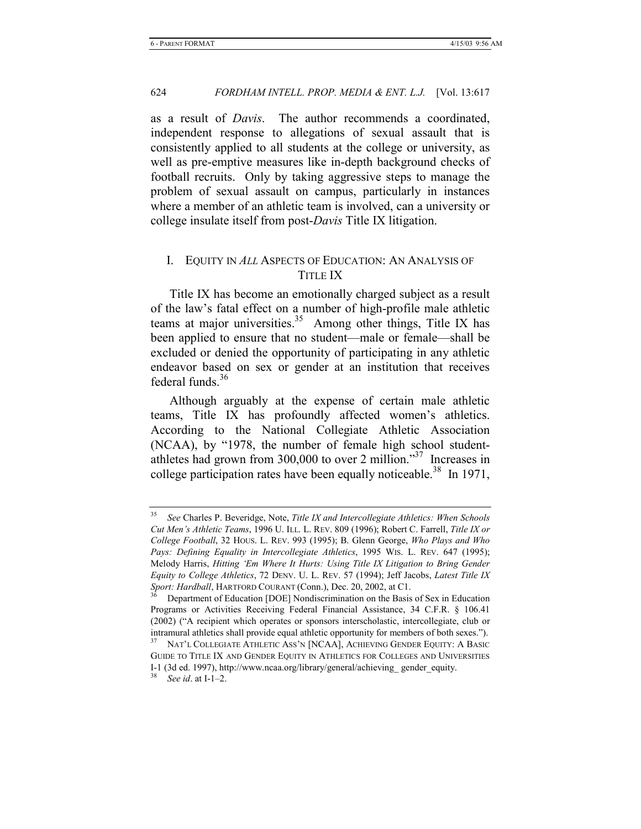as a result of *Davis*. The author recommends a coordinated, independent response to allegations of sexual assault that is consistently applied to all students at the college or university, as well as pre-emptive measures like in-depth background checks of football recruits. Only by taking aggressive steps to manage the problem of sexual assault on campus, particularly in instances where a member of an athletic team is involved, can a university or college insulate itself from post-*Davis* Title IX litigation.

# I. EQUITY IN *ALL* ASPECTS OF EDUCATION: AN ANALYSIS OF TITLE IX

Title IX has become an emotionally charged subject as a result of the law's fatal effect on a number of high-profile male athletic teams at major universities.<sup>35</sup> Among other things, Title IX has been applied to ensure that no student—male or female—shall be excluded or denied the opportunity of participating in any athletic endeavor based on sex or gender at an institution that receives federal funds.<sup>36</sup>

Although arguably at the expense of certain male athletic teams, Title IX has profoundly affected women's athletics. According to the National Collegiate Athletic Association (NCAA), by "1978, the number of female high school studentathletes had grown from 300,000 to over 2 million."37 Increases in college participation rates have been equally noticeable.<sup>38</sup> In 1971,

<sup>35</sup> *See* Charles P. Beveridge, Note, *Title IX and Intercollegiate Athletics: When Schools Cut Men's Athletic Teams*, 1996 U. ILL. L. REV. 809 (1996); Robert C. Farrell, *Title IX or College Football*, 32 HOUS. L. REV. 993 (1995); B. Glenn George, *Who Plays and Who Pays: Defining Equality in Intercollegiate Athletics*, 1995 WIS. L. REV. 647 (1995); Melody Harris, *Hitting 'Em Where It Hurts: Using Title IX Litigation to Bring Gender Equity to College Athletics*, 72 DENV. U. L. REV. 57 (1994); Jeff Jacobs, *Latest Title IX Sport: Hardball*, HARTFORD COURANT (Conn.), Dec. 20, 2002, at C1.<br><sup>36</sup> Department of Education [DOE] Nondiscrimination on the Basis of Sex in Education

Programs or Activities Receiving Federal Financial Assistance, 34 C.F.R. § 106.41 (2002) ("A recipient which operates or sponsors interscholastic, intercollegiate, club or intramural athletics shall provide equal athletic opportunity for members of both sexes.").

<sup>37</sup> NAT'L COLLEGIATE ATHLETIC ASS'N [NCAA], ACHIEVING GENDER EQUITY: A BASIC GUIDE TO TITLE IX AND GENDER EQUITY IN ATHLETICS FOR COLLEGES AND UNIVERSITIES I-1 (3d ed. 1997), http://www.ncaa.org/library/general/achieving\_ gender\_equity.

<sup>38</sup> *See id*. at I-1–2.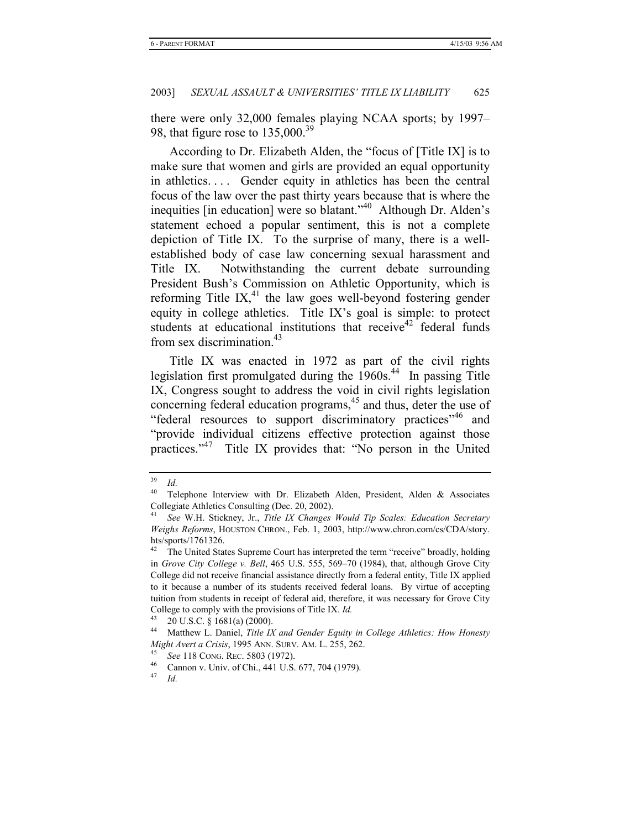there were only 32,000 females playing NCAA sports; by 1997– 98, that figure rose to  $135,000.^{39}$ 

According to Dr. Elizabeth Alden, the "focus of [Title IX] is to make sure that women and girls are provided an equal opportunity in athletics. . . . Gender equity in athletics has been the central focus of the law over the past thirty years because that is where the inequities [in education] were so blatant."<sup>40</sup> Although Dr. Alden's statement echoed a popular sentiment, this is not a complete depiction of Title IX. To the surprise of many, there is a wellestablished body of case law concerning sexual harassment and Title IX. Notwithstanding the current debate surrounding President Bush's Commission on Athletic Opportunity, which is reforming Title IX, $^{41}$  the law goes well-beyond fostering gender equity in college athletics. Title IX's goal is simple: to protect students at educational institutions that receive<sup>42</sup> federal funds from sex discrimination. $43$ 

Title IX was enacted in 1972 as part of the civil rights legislation first promulgated during the 1960s.<sup>44</sup> In passing Title IX, Congress sought to address the void in civil rights legislation concerning federal education programs,<sup>45</sup> and thus, deter the use of "federal resources to support discriminatory practices"<sup>46</sup> and "provide individual citizens effective protection against those practices."47 Title IX provides that: "No person in the United

 $rac{39}{40}$  *Id.* 

Telephone Interview with Dr. Elizabeth Alden, President, Alden & Associates Collegiate Athletics Consulting (Dec. 20, 2002).

<sup>41</sup> *See* W.H. Stickney, Jr., *Title IX Changes Would Tip Scales: Education Secretary Weighs Reforms*, HOUSTON CHRON., Feb. 1, 2003, http://www.chron.com/cs/CDA/story. hts/sports/1761326.

<sup>&</sup>lt;sup>42</sup> The United States Supreme Court has interpreted the term "receive" broadly, holding in *Grove City College v. Bell*, 465 U.S. 555, 569–70 (1984), that, although Grove City College did not receive financial assistance directly from a federal entity, Title IX applied to it because a number of its students received federal loans. By virtue of accepting tuition from students in receipt of federal aid, therefore, it was necessary for Grove City College to comply with the provisions of Title IX. *Id.*

<sup>43 20</sup> U.S.C. § 1681(a) (2000).

<sup>44</sup> Matthew L. Daniel, *Title IX and Gender Equity in College Athletics: How Honesty Might Avert a Crisis*, 1995 ANN. SURV. AM. L. 255, 262.<br><sup>45</sup> *See* 118 CONG. REC. 5803 (1972).<br><sup>46</sup> Cannon v. Univ. of Chi., 441 U.S. 677, 704 (1979).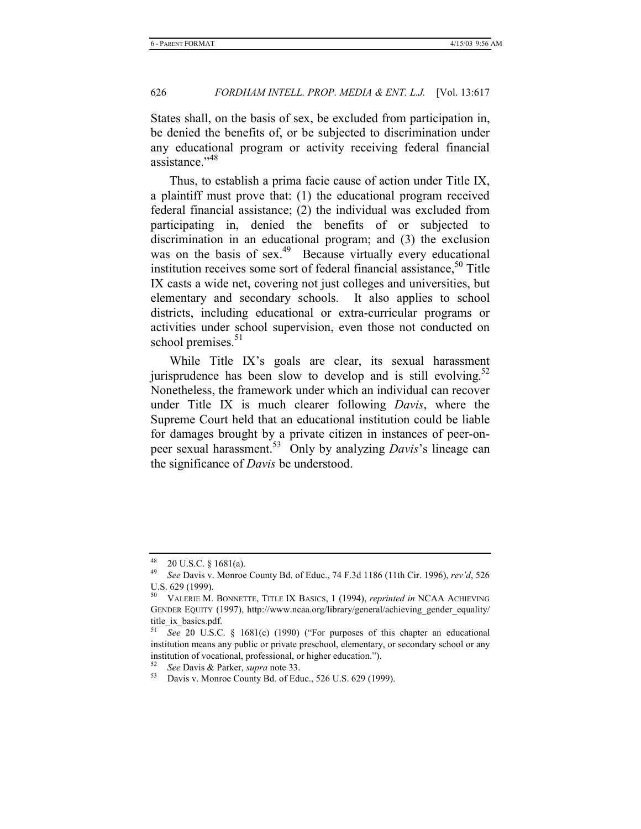States shall, on the basis of sex, be excluded from participation in, be denied the benefits of, or be subjected to discrimination under any educational program or activity receiving federal financial assistance."<sup>48</sup>

Thus, to establish a prima facie cause of action under Title IX, a plaintiff must prove that: (1) the educational program received federal financial assistance; (2) the individual was excluded from participating in, denied the benefits of or subjected to discrimination in an educational program; and (3) the exclusion was on the basis of sex.<sup>49</sup> Because virtually every educational institution receives some sort of federal financial assistance,<sup>50</sup> Title IX casts a wide net, covering not just colleges and universities, but elementary and secondary schools. It also applies to school districts, including educational or extra-curricular programs or activities under school supervision, even those not conducted on school premises.<sup>51</sup>

While Title IX's goals are clear, its sexual harassment jurisprudence has been slow to develop and is still evolving.<sup>52</sup> Nonetheless, the framework under which an individual can recover under Title IX is much clearer following *Davis*, where the Supreme Court held that an educational institution could be liable for damages brought by a private citizen in instances of peer-onpeer sexual harassment.53 Only by analyzing *Davis*'s lineage can the significance of *Davis* be understood.

 $^{48}$  20 U.S.C. § 1681(a).

<sup>49</sup> *See* Davis v. Monroe County Bd. of Educ., 74 F.3d 1186 (11th Cir. 1996), *rev'd*, 526 U.S. 629 (1999).

<sup>50</sup> VALERIE M. BONNETTE, TITLE IX BASICS, 1 (1994), *reprinted in* NCAA ACHIEVING GENDER EQUITY (1997), http://www.ncaa.org/library/general/achieving\_gender\_equality/ title\_ix\_basics.pdf.

<sup>51</sup> *See* 20 U.S.C. § 1681(c) (1990) ("For purposes of this chapter an educational institution means any public or private preschool, elementary, or secondary school or any institution of vocational, professional, or higher education.").

<sup>52</sup> *See* Davis & Parker, *supra* note 33. 53 Davis v. Monroe County Bd. of Educ., 526 U.S. 629 (1999).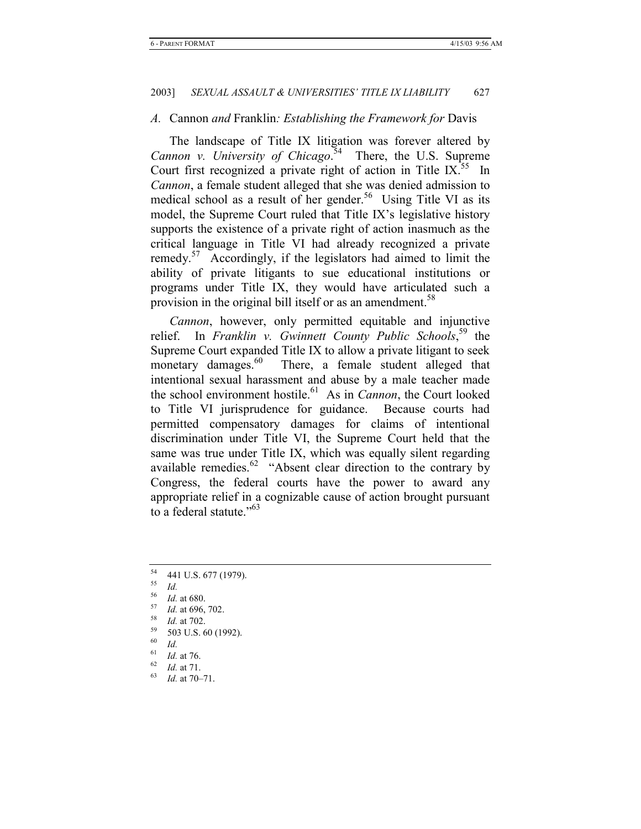#### *A.* Cannon *and* Franklin*: Establishing the Framework for* Davis

The landscape of Title IX litigation was forever altered by *Cannon v. University of Chicago*. 54 There, the U.S. Supreme Court first recognized a private right of action in Title IX.<sup>55</sup> In *Cannon*, a female student alleged that she was denied admission to medical school as a result of her gender.<sup>56</sup> Using Title VI as its model, the Supreme Court ruled that Title IX's legislative history supports the existence of a private right of action inasmuch as the critical language in Title VI had already recognized a private remedy. $57$  Accordingly, if the legislators had aimed to limit the ability of private litigants to sue educational institutions or programs under Title IX, they would have articulated such a provision in the original bill itself or as an amendment.<sup>58</sup>

*Cannon*, however, only permitted equitable and injunctive relief. In *Franklin v. Gwinnett County Public Schools*, <sup>59</sup> the Supreme Court expanded Title IX to allow a private litigant to seek monetary damages.<sup>60</sup> There, a female student alleged that intentional sexual harassment and abuse by a male teacher made the school environment hostile.<sup>61</sup> As in *Cannon*, the Court looked to Title VI jurisprudence for guidance. Because courts had permitted compensatory damages for claims of intentional discrimination under Title VI, the Supreme Court held that the same was true under Title IX, which was equally silent regarding available remedies. $62$  "Absent clear direction to the contrary by Congress, the federal courts have the power to award any appropriate relief in a cognizable cause of action brought pursuant to a federal statute."<sup>63</sup>

 $^{54}$  441 U.S. 677 (1979).

 $\frac{55}{56}$  *Id.* 

<sup>56</sup> *Id.* at 680.<br>
57 *Id.* at 696, 702.<br>
58 *Id.* at 702.<br>
59 503 U.S. 60 (1992).

 $\begin{array}{cc} 60 & Id. \\ 61 & 11 \end{array}$ 

<sup>61</sup> *Id.* at 76. 62 *Id.* at 71. 63 *Id.* at 70–71.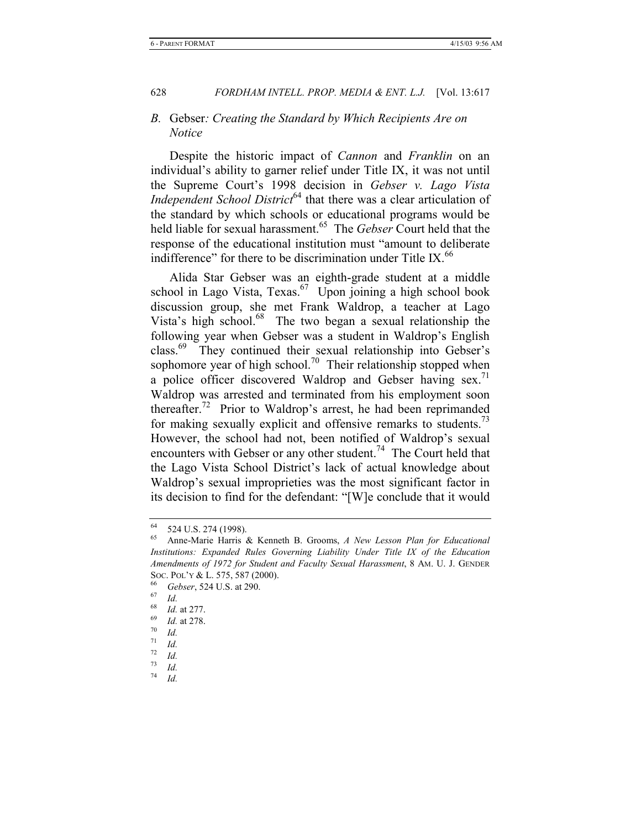# *B.* Gebser*: Creating the Standard by Which Recipients Are on Notice*

Despite the historic impact of *Cannon* and *Franklin* on an individual's ability to garner relief under Title IX, it was not until the Supreme Court's 1998 decision in *Gebser v. Lago Vista Independent School District*64 that there was a clear articulation of the standard by which schools or educational programs would be held liable for sexual harassment.<sup>65</sup> The *Gebser* Court held that the response of the educational institution must "amount to deliberate indifference" for there to be discrimination under Title IX. $^{66}$ 

Alida Star Gebser was an eighth-grade student at a middle school in Lago Vista, Texas.<sup>67</sup> Upon joining a high school book discussion group, she met Frank Waldrop, a teacher at Lago Vista's high school.68 The two began a sexual relationship the following year when Gebser was a student in Waldrop's English class.69 They continued their sexual relationship into Gebser's sophomore year of high school.<sup>70</sup> Their relationship stopped when a police officer discovered Waldrop and Gebser having sex.<sup>71</sup> Waldrop was arrested and terminated from his employment soon thereafter.<sup>72</sup> Prior to Waldrop's arrest, he had been reprimanded for making sexually explicit and offensive remarks to students.<sup>13</sup> However, the school had not, been notified of Waldrop's sexual encounters with Gebser or any other student.<sup>74</sup> The Court held that the Lago Vista School District's lack of actual knowledge about Waldrop's sexual improprieties was the most significant factor in its decision to find for the defendant: "[W]e conclude that it would

 $^{64}$  524 U.S. 274 (1998).

<sup>65</sup> Anne-Marie Harris & Kenneth B. Grooms, *A New Lesson Plan for Educational Institutions: Expanded Rules Governing Liability Under Title IX of the Education Amendments of 1972 for Student and Faculty Sexual Harassment*, 8 AM. U. J. GENDER Soc. Pol'y & L. 575, 587 (2000).<br>
<sup>66</sup> Gebser, 524 U.S. at 290.<br>
<sup>67</sup> *Id.*<br>
<sup>68</sup>

<sup>68</sup> *Id.* at 277. 69 *Id.* at 278. 70 *Id.*

 $rac{71}{72}$  *Id.* 

 $\frac{72}{73}$  *Id.* 

 $\frac{73}{74}$  *Id.* <sup>74</sup> *Id.*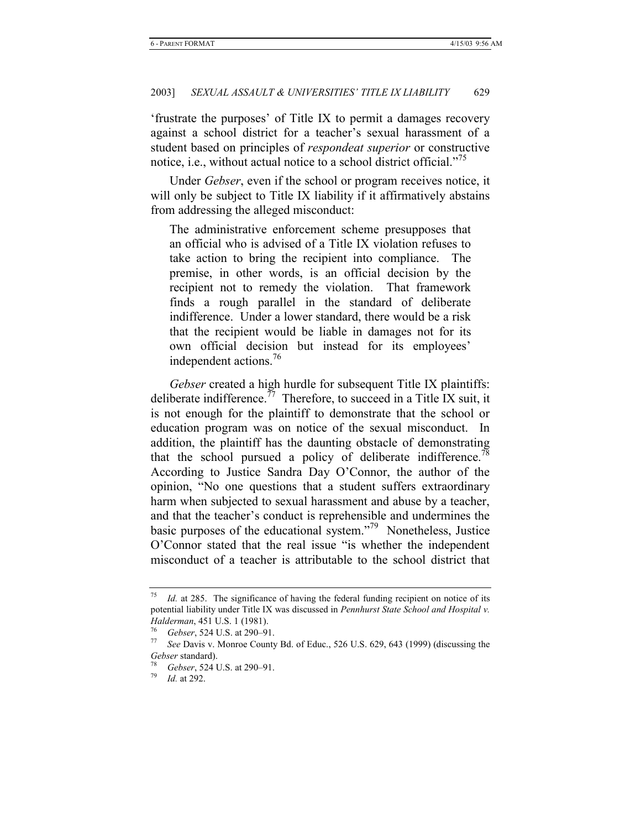'frustrate the purposes' of Title IX to permit a damages recovery against a school district for a teacher's sexual harassment of a student based on principles of *respondeat superior* or constructive notice, i.e., without actual notice to a school district official."<sup>75</sup>

Under *Gebser*, even if the school or program receives notice, it will only be subject to Title IX liability if it affirmatively abstains from addressing the alleged misconduct:

The administrative enforcement scheme presupposes that an official who is advised of a Title IX violation refuses to take action to bring the recipient into compliance. The premise, in other words, is an official decision by the recipient not to remedy the violation. That framework finds a rough parallel in the standard of deliberate indifference. Under a lower standard, there would be a risk that the recipient would be liable in damages not for its own official decision but instead for its employees' independent actions.<sup>76</sup>

*Gebser* created a high hurdle for subsequent Title IX plaintiffs: deliberate indifference.<sup>77</sup> Therefore, to succeed in a Title IX suit, it is not enough for the plaintiff to demonstrate that the school or education program was on notice of the sexual misconduct. In addition, the plaintiff has the daunting obstacle of demonstrating that the school pursued a policy of deliberate indifference.<sup>78</sup> According to Justice Sandra Day O'Connor, the author of the opinion, "No one questions that a student suffers extraordinary harm when subjected to sexual harassment and abuse by a teacher, and that the teacher's conduct is reprehensible and undermines the basic purposes of the educational system."79 Nonetheless, Justice O'Connor stated that the real issue "is whether the independent misconduct of a teacher is attributable to the school district that

*Id.* at 285. The significance of having the federal funding recipient on notice of its potential liability under Title IX was discussed in *Pennhurst State School and Hospital v. Halderman*, 451 U.S. 1 (1981).<br><sup>76</sup> Gebser, 524 U.S. at 290–91.<br><sup>77</sup> See Davis v. Monroe County Bd. of Educ., 526 U.S. 629, 643 (1999) (discussing the

*Gebser* standard). 78 *Gebser*, 524 U.S. at 290–91. 79 *Id.* at 292.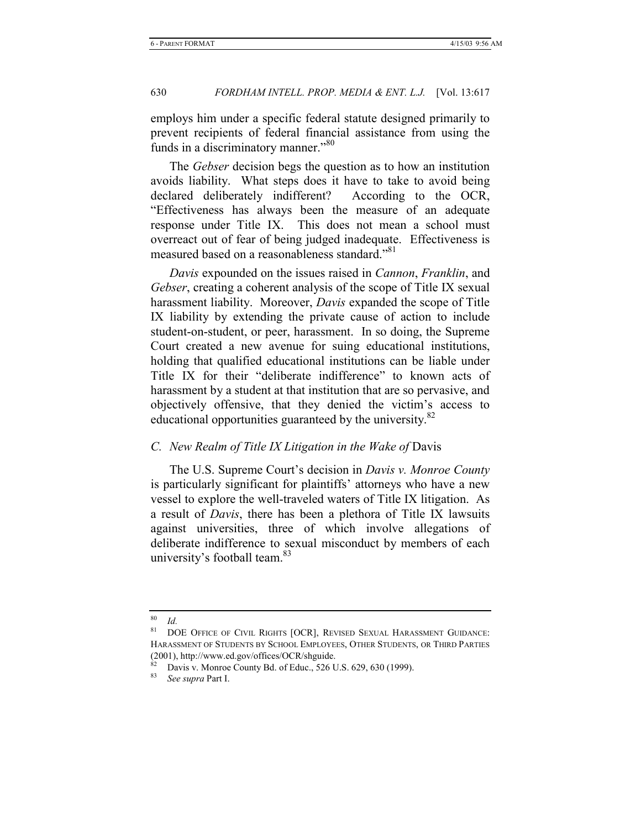employs him under a specific federal statute designed primarily to prevent recipients of federal financial assistance from using the funds in a discriminatory manner."<sup>80</sup>

The *Gebser* decision begs the question as to how an institution avoids liability. What steps does it have to take to avoid being declared deliberately indifferent? According to the OCR, "Effectiveness has always been the measure of an adequate response under Title IX. This does not mean a school must overreact out of fear of being judged inadequate. Effectiveness is measured based on a reasonableness standard."<sup>81</sup>

*Davis* expounded on the issues raised in *Cannon*, *Franklin*, and *Gebser*, creating a coherent analysis of the scope of Title IX sexual harassment liability. Moreover, *Davis* expanded the scope of Title IX liability by extending the private cause of action to include student-on-student, or peer, harassment. In so doing, the Supreme Court created a new avenue for suing educational institutions, holding that qualified educational institutions can be liable under Title IX for their "deliberate indifference" to known acts of harassment by a student at that institution that are so pervasive, and objectively offensive, that they denied the victim's access to educational opportunities guaranteed by the university.<sup>82</sup>

#### *C. New Realm of Title IX Litigation in the Wake of* Davis

The U.S. Supreme Court's decision in *Davis v. Monroe County* is particularly significant for plaintiffs' attorneys who have a new vessel to explore the well-traveled waters of Title IX litigation. As a result of *Davis*, there has been a plethora of Title IX lawsuits against universities, three of which involve allegations of deliberate indifference to sexual misconduct by members of each university's football team.<sup>83</sup>

 $rac{80}{81}$  *Id.* 

DOE OFFICE OF CIVIL RIGHTS [OCR], REVISED SEXUAL HARASSMENT GUIDANCE: HARASSMENT OF STUDENTS BY SCHOOL EMPLOYEES, OTHER STUDENTS, OR THIRD PARTIES (2001), http://www.ed.gov/offices/OCR/shguide.

<sup>&</sup>lt;sup>82</sup> Davis v. Monroe County Bd. of Educ., 526 U.S. 629, 630 (1999).

<sup>83</sup> *See supra* Part I.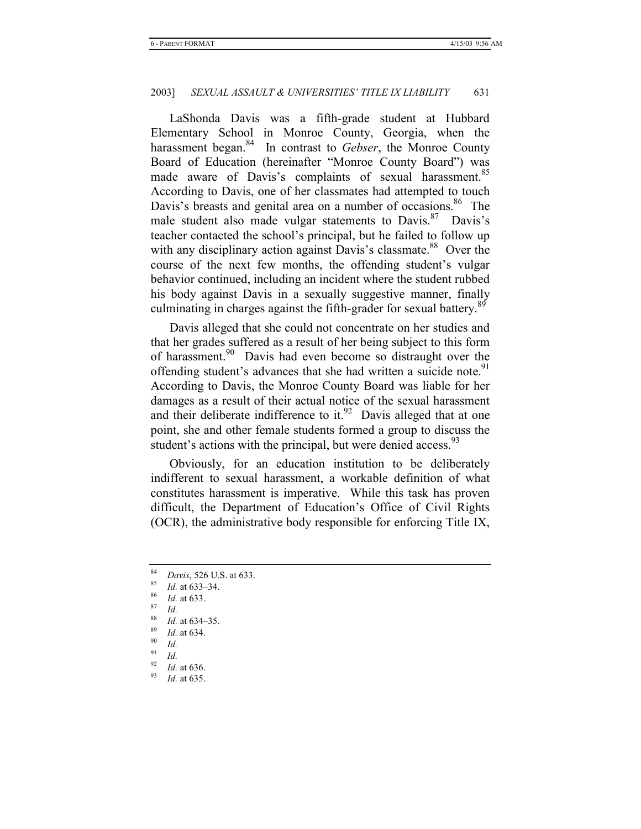LaShonda Davis was a fifth-grade student at Hubbard Elementary School in Monroe County, Georgia, when the harassment began.<sup>84</sup> In contrast to *Gebser*, the Monroe County Board of Education (hereinafter "Monroe County Board") was made aware of Davis's complaints of sexual harassment.<sup>85</sup> According to Davis, one of her classmates had attempted to touch Davis's breasts and genital area on a number of occasions.<sup>86</sup> The male student also made vulgar statements to Davis.<sup>87</sup> Davis's teacher contacted the school's principal, but he failed to follow up with any disciplinary action against Davis's classmate.<sup>88</sup> Over the course of the next few months, the offending student's vulgar behavior continued, including an incident where the student rubbed his body against Davis in a sexually suggestive manner, finally culminating in charges against the fifth-grader for sexual battery.<sup>89</sup>

Davis alleged that she could not concentrate on her studies and that her grades suffered as a result of her being subject to this form of harassment.<sup>90</sup> Davis had even become so distraught over the offending student's advances that she had written a suicide note.<sup>91</sup> According to Davis, the Monroe County Board was liable for her damages as a result of their actual notice of the sexual harassment and their deliberate indifference to it. $92$  Davis alleged that at one point, she and other female students formed a group to discuss the student's actions with the principal, but were denied access.<sup>93</sup>

Obviously, for an education institution to be deliberately indifferent to sexual harassment, a workable definition of what constitutes harassment is imperative. While this task has proven difficult, the Department of Education's Office of Civil Rights (OCR), the administrative body responsible for enforcing Title IX,

<sup>84&</sup>lt;br>85<br>*Id.* at 633–34.<br>86<br>87<br>81<br>88<br>88<br>88

<sup>88</sup> *Id.* at 634–35. 89 *Id.* at 634. 90 *Id.*

 $\frac{91}{92}$  *Id.* 

<sup>92</sup> *Id.* at 636. 93 *Id.* at 635.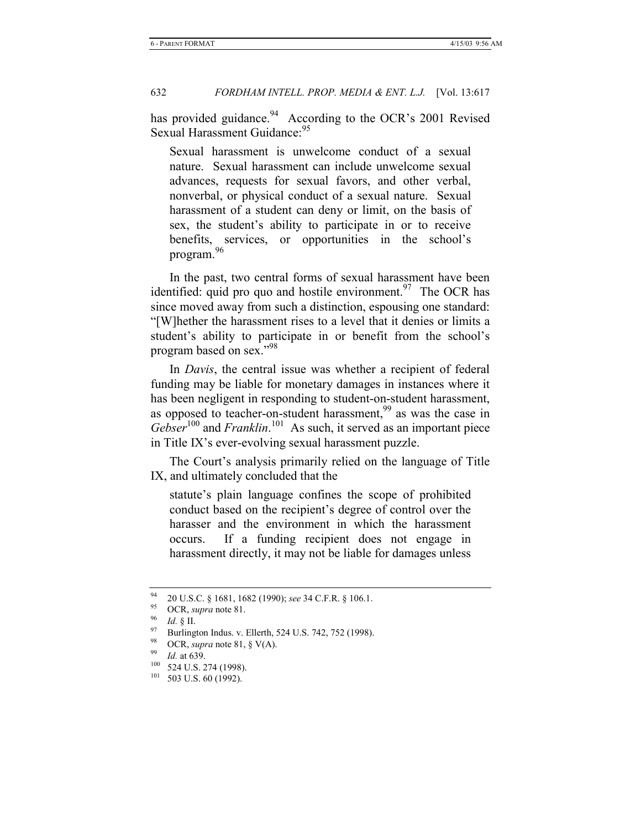has provided guidance.<sup>94</sup> According to the OCR's 2001 Revised Sexual Harassment Guidance:<sup>95</sup>

Sexual harassment is unwelcome conduct of a sexual nature. Sexual harassment can include unwelcome sexual advances, requests for sexual favors, and other verbal, nonverbal, or physical conduct of a sexual nature. Sexual harassment of a student can deny or limit, on the basis of sex, the student's ability to participate in or to receive benefits, services, or opportunities in the school's program.<sup>96</sup>

In the past, two central forms of sexual harassment have been identified: quid pro quo and hostile environment.<sup>97</sup> The OCR has since moved away from such a distinction, espousing one standard: "[W]hether the harassment rises to a level that it denies or limits a student's ability to participate in or benefit from the school's program based on sex."98

In *Davis*, the central issue was whether a recipient of federal funding may be liable for monetary damages in instances where it has been negligent in responding to student-on-student harassment, as opposed to teacher-on-student harassment,<sup>99</sup> as was the case in Gebser<sup>100</sup> and *Franklin*.<sup>101</sup> As such, it served as an important piece in Title IX's ever-evolving sexual harassment puzzle.

The Court's analysis primarily relied on the language of Title IX, and ultimately concluded that the

statute's plain language confines the scope of prohibited conduct based on the recipient's degree of control over the harasser and the environment in which the harassment occurs. If a funding recipient does not engage in harassment directly, it may not be liable for damages unless

<sup>94 20</sup> U.S.C. § 1681, 1682 (1990); *see* 34 C.F.R. § 106.1.<br>
95 OCR, *supra* note 81.<br>
96 *Id.* § II.<br>
97 Burlington Indus. v. Ellerth, 524 U.S. 742, 752 (1998).

<sup>98</sup> OCR, *supra* note 81, § V(A).<br><sup>99</sup> *Id.* at 639.<br><sup>100</sup> 524 U.S. 274 (1998).<br><sup>101</sup> 503 U.S. 60 (1992).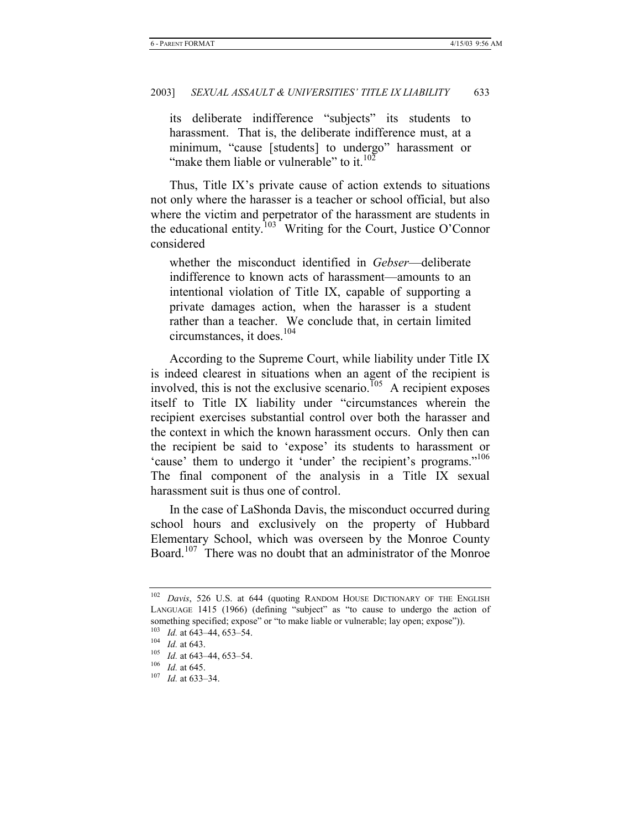its deliberate indifference "subjects" its students to harassment. That is, the deliberate indifference must, at a minimum, "cause [students] to undergo" harassment or "make them liable or vulnerable" to it.<sup>102</sup>

Thus, Title IX's private cause of action extends to situations not only where the harasser is a teacher or school official, but also where the victim and perpetrator of the harassment are students in the educational entity.<sup>103</sup> Writing for the Court, Justice O'Connor considered

whether the misconduct identified in *Gebser*—deliberate indifference to known acts of harassment—amounts to an intentional violation of Title IX, capable of supporting a private damages action, when the harasser is a student rather than a teacher. We conclude that, in certain limited circumstances, it does.104

According to the Supreme Court, while liability under Title IX is indeed clearest in situations when an agent of the recipient is involved, this is not the exclusive scenario.<sup>105</sup> A recipient exposes itself to Title IX liability under "circumstances wherein the recipient exercises substantial control over both the harasser and the context in which the known harassment occurs. Only then can the recipient be said to 'expose' its students to harassment or 'cause' them to undergo it 'under' the recipient's programs."<sup>106</sup> The final component of the analysis in a Title IX sexual harassment suit is thus one of control.

In the case of LaShonda Davis, the misconduct occurred during school hours and exclusively on the property of Hubbard Elementary School, which was overseen by the Monroe County Board.<sup>107</sup> There was no doubt that an administrator of the Monroe

<sup>&</sup>lt;sup>102</sup> Davis, 526 U.S. at 644 (quoting RANDOM HOUSE DICTIONARY OF THE ENGLISH LANGUAGE 1415 (1966) (defining "subject" as "to cause to undergo the action of something specified; expose" or "to make liable or vulnerable; lay open; expose")).<br><sup>103</sup> Id. at 643–44, 653–54.

<sup>103</sup> *Id.* at 643.<br>
105 *Id.* at 643–44, 653–54.<br>
107 *Id.* at 633–34.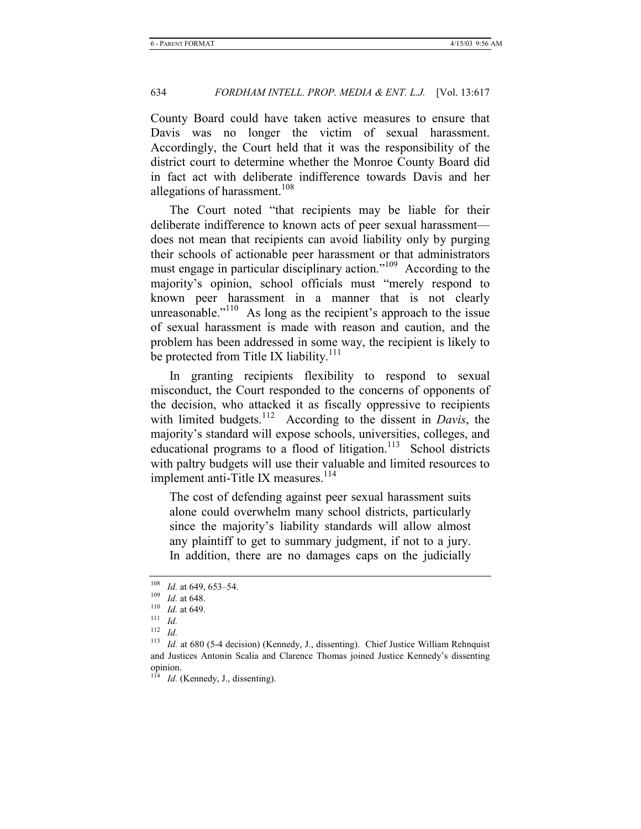County Board could have taken active measures to ensure that Davis was no longer the victim of sexual harassment. Accordingly, the Court held that it was the responsibility of the district court to determine whether the Monroe County Board did in fact act with deliberate indifference towards Davis and her allegations of harassment.<sup>108</sup>

The Court noted "that recipients may be liable for their deliberate indifference to known acts of peer sexual harassment does not mean that recipients can avoid liability only by purging their schools of actionable peer harassment or that administrators must engage in particular disciplinary action."<sup>109</sup> According to the majority's opinion, school officials must "merely respond to known peer harassment in a manner that is not clearly unreasonable."<sup>110</sup> As long as the recipient's approach to the issue of sexual harassment is made with reason and caution, and the problem has been addressed in some way, the recipient is likely to be protected from Title IX liability.<sup>111</sup>

In granting recipients flexibility to respond to sexual misconduct, the Court responded to the concerns of opponents of the decision, who attacked it as fiscally oppressive to recipients with limited budgets.112 According to the dissent in *Davis*, the majority's standard will expose schools, universities, colleges, and educational programs to a flood of litigation.<sup>113</sup> School districts with paltry budgets will use their valuable and limited resources to implement anti-Title IX measures.<sup>114</sup>

The cost of defending against peer sexual harassment suits alone could overwhelm many school districts, particularly since the majority's liability standards will allow almost any plaintiff to get to summary judgment, if not to a jury. In addition, there are no damages caps on the judicially

<sup>108</sup> *Id.* at 649, 653–54.<br>
109 *Id.* at 648.<br>
111 *Id.* at 649.<br>
112 *Id.* 

 $\frac{112}{113}$  *Id.* 

Id. at 680 (5-4 decision) (Kennedy, J., dissenting). Chief Justice William Rehnquist and Justices Antonin Scalia and Clarence Thomas joined Justice Kennedy's dissenting opinion.

Id. (Kennedy, J., dissenting).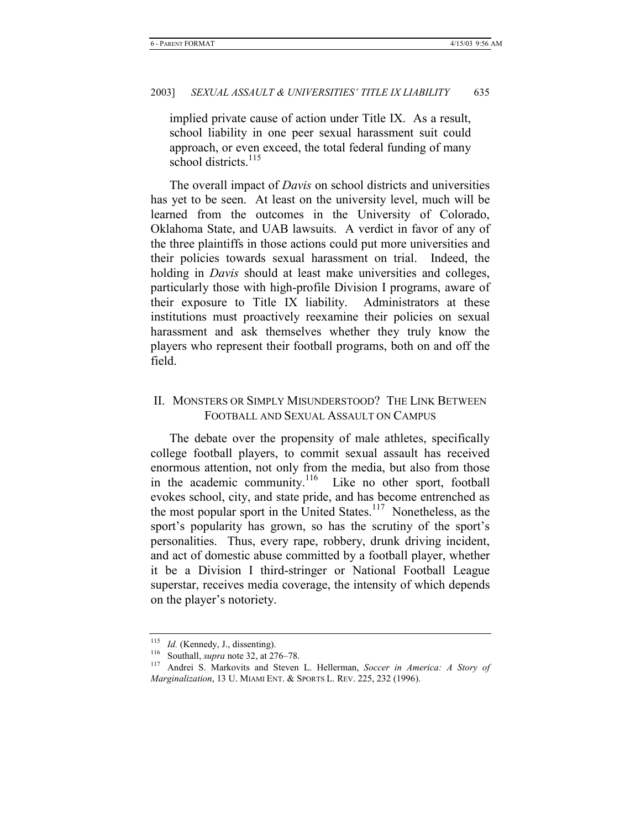implied private cause of action under Title IX. As a result, school liability in one peer sexual harassment suit could approach, or even exceed, the total federal funding of many school districts.<sup>115</sup>

The overall impact of *Davis* on school districts and universities has yet to be seen. At least on the university level, much will be learned from the outcomes in the University of Colorado, Oklahoma State, and UAB lawsuits. A verdict in favor of any of the three plaintiffs in those actions could put more universities and their policies towards sexual harassment on trial. Indeed, the holding in *Davis* should at least make universities and colleges, particularly those with high-profile Division I programs, aware of their exposure to Title IX liability. Administrators at these institutions must proactively reexamine their policies on sexual harassment and ask themselves whether they truly know the players who represent their football programs, both on and off the field.

# II. MONSTERS OR SIMPLY MISUNDERSTOOD? THE LINK BETWEEN FOOTBALL AND SEXUAL ASSAULT ON CAMPUS

The debate over the propensity of male athletes, specifically college football players, to commit sexual assault has received enormous attention, not only from the media, but also from those in the academic community.<sup>116</sup> Like no other sport, football evokes school, city, and state pride, and has become entrenched as the most popular sport in the United States.<sup>117</sup> Nonetheless, as the sport's popularity has grown, so has the scrutiny of the sport's personalities. Thus, every rape, robbery, drunk driving incident, and act of domestic abuse committed by a football player, whether it be a Division I third-stringer or National Football League superstar, receives media coverage, the intensity of which depends on the player's notoriety.

<sup>115</sup> *Id.* (Kennedy, J., dissenting). 116 Southall, *supra* note 32, at 276–78. 117 Andrei S. Markovits and Steven L. Hellerman, *Soccer in America: A Story of Marginalization*, 13 U. MIAMI ENT. & SPORTS L. REV. 225, 232 (1996).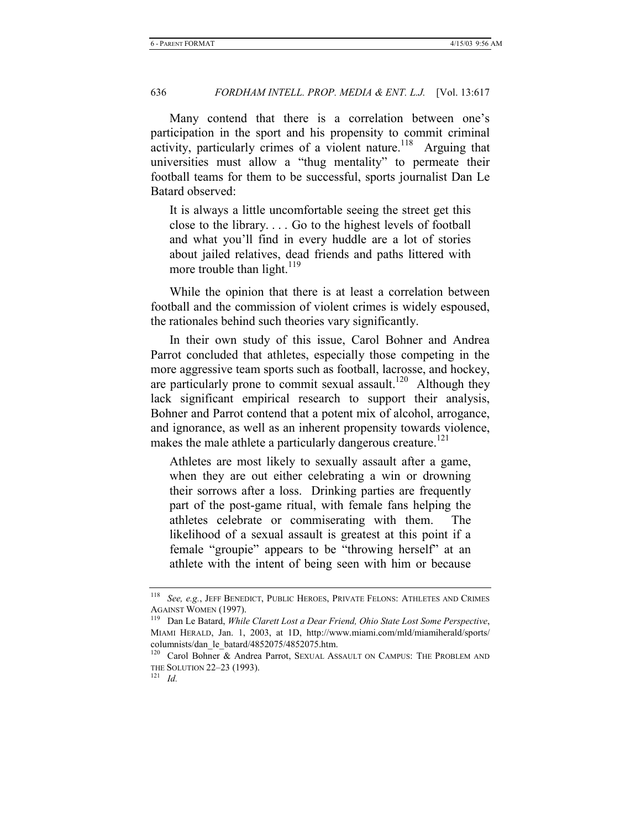Many contend that there is a correlation between one's participation in the sport and his propensity to commit criminal activity, particularly crimes of a violent nature.<sup>118</sup> Arguing that universities must allow a "thug mentality" to permeate their football teams for them to be successful, sports journalist Dan Le Batard observed:

It is always a little uncomfortable seeing the street get this close to the library. . . . Go to the highest levels of football and what you'll find in every huddle are a lot of stories about jailed relatives, dead friends and paths littered with more trouble than light.<sup>119</sup>

While the opinion that there is at least a correlation between football and the commission of violent crimes is widely espoused, the rationales behind such theories vary significantly.

In their own study of this issue, Carol Bohner and Andrea Parrot concluded that athletes, especially those competing in the more aggressive team sports such as football, lacrosse, and hockey, are particularly prone to commit sexual assault.<sup>120</sup> Although they lack significant empirical research to support their analysis, Bohner and Parrot contend that a potent mix of alcohol, arrogance, and ignorance, as well as an inherent propensity towards violence, makes the male athlete a particularly dangerous creature.<sup>121</sup>

Athletes are most likely to sexually assault after a game, when they are out either celebrating a win or drowning their sorrows after a loss. Drinking parties are frequently part of the post-game ritual, with female fans helping the athletes celebrate or commiserating with them. The likelihood of a sexual assault is greatest at this point if a female "groupie" appears to be "throwing herself" at an athlete with the intent of being seen with him or because

<sup>118</sup> *See, e.g.*, JEFF BENEDICT, PUBLIC HEROES, PRIVATE FELONS: ATHLETES AND CRIMES AGAINST WOMEN (1997).<br><sup>119</sup> Dan Le Batard, *While Clarett Lost a Dear Friend, Ohio State Lost Some Perspective,* 

MIAMI HERALD, Jan. 1, 2003, at 1D, http://www.miami.com/mld/miamiherald/sports/ columnists/dan\_le\_batard/4852075/4852075.htm.

<sup>&</sup>lt;sup>120</sup> Carol Bohner & Andrea Parrot, SEXUAL ASSAULT ON CAMPUS: THE PROBLEM AND THE SOLUTION 22–23 (1993). 121 *Id.*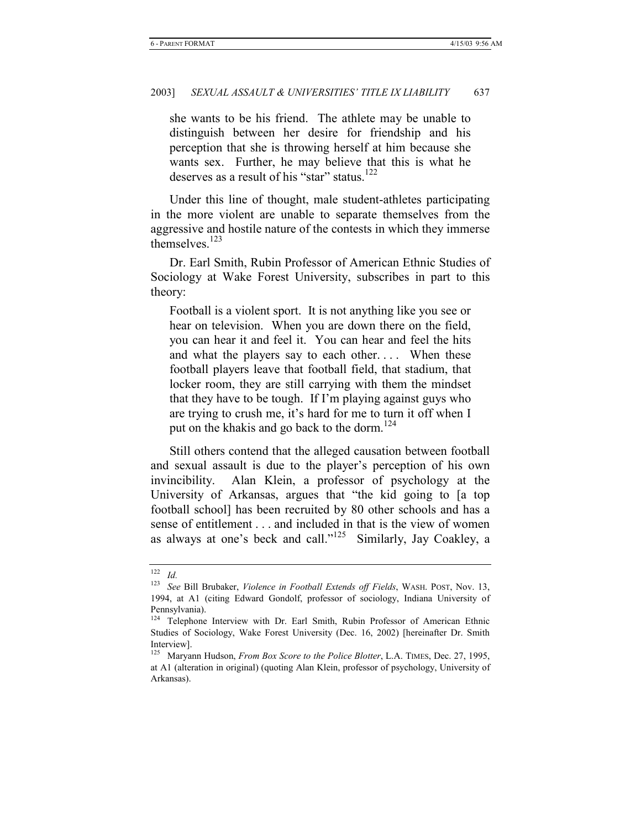she wants to be his friend. The athlete may be unable to distinguish between her desire for friendship and his perception that she is throwing herself at him because she wants sex. Further, he may believe that this is what he deserves as a result of his "star" status.<sup>122</sup>

Under this line of thought, male student-athletes participating in the more violent are unable to separate themselves from the aggressive and hostile nature of the contests in which they immerse themselves. $123$ 

Dr. Earl Smith, Rubin Professor of American Ethnic Studies of Sociology at Wake Forest University, subscribes in part to this theory:

Football is a violent sport. It is not anything like you see or hear on television. When you are down there on the field, you can hear it and feel it. You can hear and feel the hits and what the players say to each other. . . . When these football players leave that football field, that stadium, that locker room, they are still carrying with them the mindset that they have to be tough. If I'm playing against guys who are trying to crush me, it's hard for me to turn it off when I put on the khakis and go back to the dorm.<sup>124</sup>

Still others contend that the alleged causation between football and sexual assault is due to the player's perception of his own invincibility. Alan Klein, a professor of psychology at the University of Arkansas, argues that "the kid going to [a top football school] has been recruited by 80 other schools and has a sense of entitlement . . . and included in that is the view of women as always at one's beck and call."<sup>125</sup> Similarly, Jay Coakley, a

<sup>122</sup> *Id.*

<sup>123</sup> *See* Bill Brubaker, *Violence in Football Extends off Fields*, WASH. POST, Nov. 13, 1994, at A1 (citing Edward Gondolf, professor of sociology, Indiana University of Pennsylvania).

<sup>&</sup>lt;sup>124</sup> Telephone Interview with Dr. Earl Smith, Rubin Professor of American Ethnic Studies of Sociology, Wake Forest University (Dec. 16, 2002) [hereinafter Dr. Smith Interview].

<sup>125</sup> Maryann Hudson, *From Box Score to the Police Blotter*, L.A. TIMES, Dec. 27, 1995, at A1 (alteration in original) (quoting Alan Klein, professor of psychology, University of Arkansas).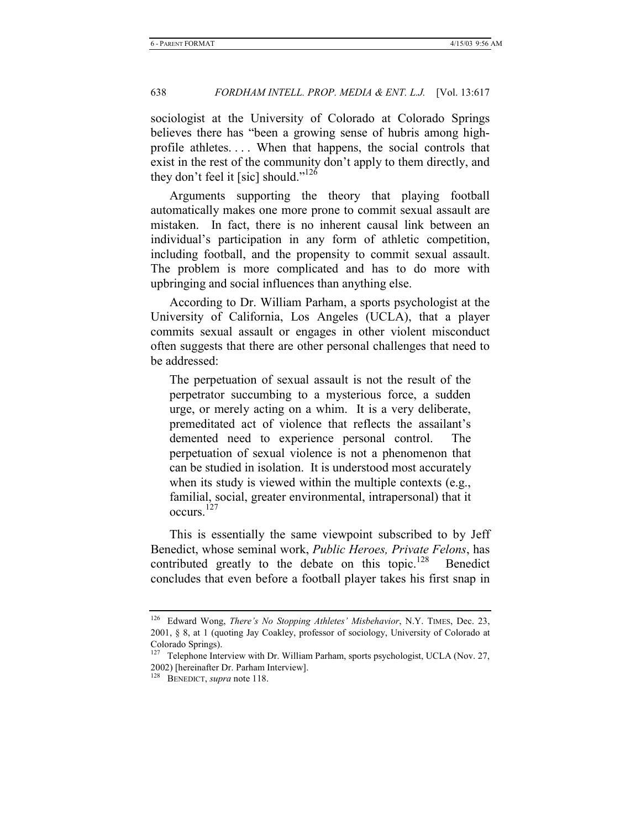sociologist at the University of Colorado at Colorado Springs believes there has "been a growing sense of hubris among highprofile athletes. . . . When that happens, the social controls that exist in the rest of the community don't apply to them directly, and they don't feel it [sic] should." $126$ 

Arguments supporting the theory that playing football automatically makes one more prone to commit sexual assault are mistaken. In fact, there is no inherent causal link between an individual's participation in any form of athletic competition, including football, and the propensity to commit sexual assault. The problem is more complicated and has to do more with upbringing and social influences than anything else.

According to Dr. William Parham, a sports psychologist at the University of California, Los Angeles (UCLA), that a player commits sexual assault or engages in other violent misconduct often suggests that there are other personal challenges that need to be addressed:

The perpetuation of sexual assault is not the result of the perpetrator succumbing to a mysterious force, a sudden urge, or merely acting on a whim. It is a very deliberate, premeditated act of violence that reflects the assailant's demented need to experience personal control. The perpetuation of sexual violence is not a phenomenon that can be studied in isolation. It is understood most accurately when its study is viewed within the multiple contexts (e.g., familial, social, greater environmental, intrapersonal) that it occurs.<sup>127</sup>

This is essentially the same viewpoint subscribed to by Jeff Benedict, whose seminal work, *Public Heroes, Private Felons*, has contributed greatly to the debate on this topic.<sup>128</sup> Benedict concludes that even before a football player takes his first snap in

<sup>126</sup> Edward Wong, *There's No Stopping Athletes' Misbehavior*, N.Y. TIMES, Dec. 23, 2001, § 8, at 1 (quoting Jay Coakley, professor of sociology, University of Colorado at Colorado Springs).

<sup>&</sup>lt;sup>127</sup> Telephone Interview with Dr. William Parham, sports psychologist, UCLA (Nov. 27, 2002) [hereinafter Dr. Parham Interview].

<sup>128</sup> BENEDICT, *supra* note 118.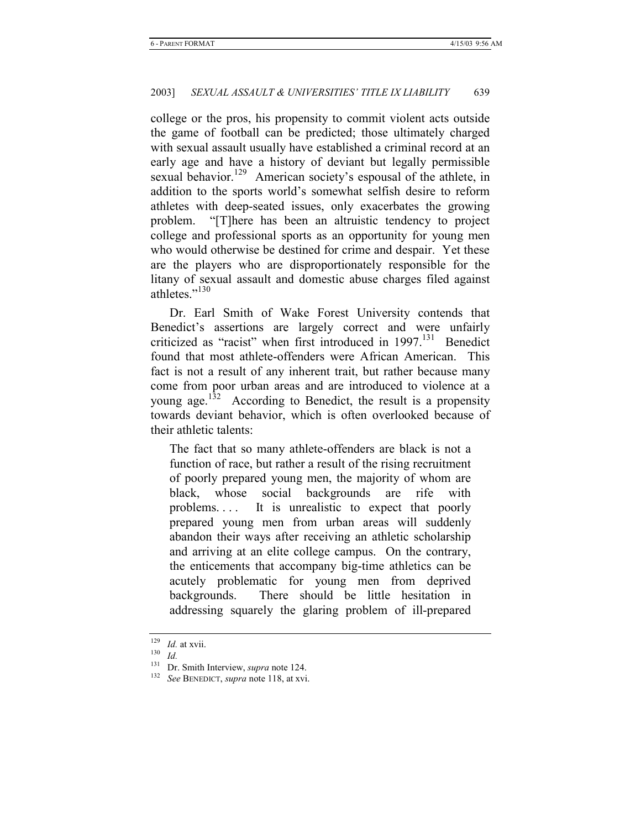college or the pros, his propensity to commit violent acts outside the game of football can be predicted; those ultimately charged with sexual assault usually have established a criminal record at an early age and have a history of deviant but legally permissible sexual behavior.<sup>129</sup> American society's espousal of the athlete, in addition to the sports world's somewhat selfish desire to reform athletes with deep-seated issues, only exacerbates the growing problem. "[T]here has been an altruistic tendency to project college and professional sports as an opportunity for young men who would otherwise be destined for crime and despair. Yet these are the players who are disproportionately responsible for the litany of sexual assault and domestic abuse charges filed against athletes."<sup>130</sup>

Dr. Earl Smith of Wake Forest University contends that Benedict's assertions are largely correct and were unfairly criticized as "racist" when first introduced in  $1997$ .<sup>131</sup> Benedict found that most athlete-offenders were African American. This fact is not a result of any inherent trait, but rather because many come from poor urban areas and are introduced to violence at a young age.132 According to Benedict, the result is a propensity towards deviant behavior, which is often overlooked because of their athletic talents:

The fact that so many athlete-offenders are black is not a function of race, but rather a result of the rising recruitment of poorly prepared young men, the majority of whom are black, whose social backgrounds are rife with problems. . . . It is unrealistic to expect that poorly prepared young men from urban areas will suddenly abandon their ways after receiving an athletic scholarship and arriving at an elite college campus. On the contrary, the enticements that accompany big-time athletics can be acutely problematic for young men from deprived backgrounds. There should be little hesitation in addressing squarely the glaring problem of ill-prepared

<sup>129</sup> *Id.* at xvii. 130 *Id.*

<sup>131</sup> Dr. Smith Interview, *supra* note 124. 132 *See* BENEDICT, *supra* note 118, at xvi.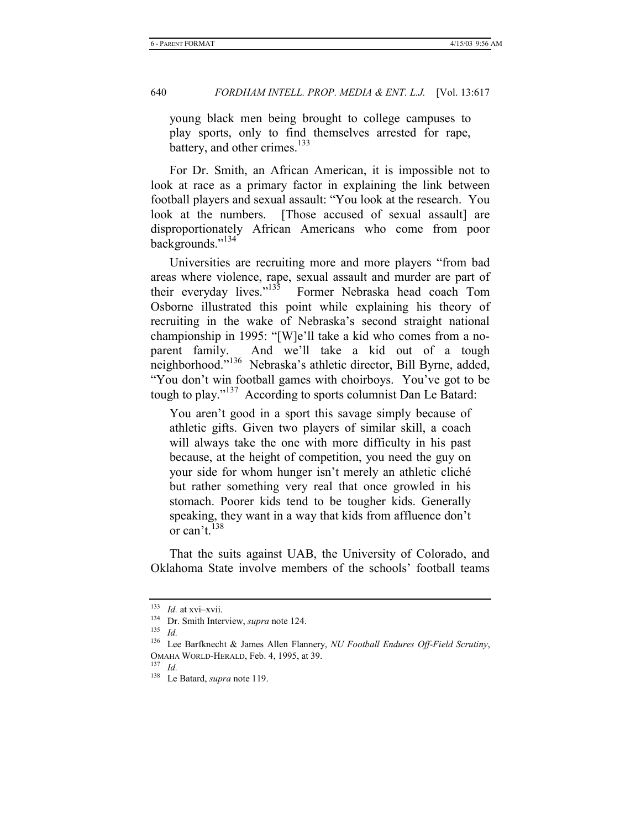young black men being brought to college campuses to play sports, only to find themselves arrested for rape, battery, and other crimes. $^{133}$ 

For Dr. Smith, an African American, it is impossible not to look at race as a primary factor in explaining the link between football players and sexual assault: "You look at the research. You look at the numbers. [Those accused of sexual assault] are disproportionately African Americans who come from poor backgrounds."<sup>134</sup>

Universities are recruiting more and more players "from bad areas where violence, rape, sexual assault and murder are part of their everyday lives."135 Former Nebraska head coach Tom Osborne illustrated this point while explaining his theory of recruiting in the wake of Nebraska's second straight national championship in 1995: "[W]e'll take a kid who comes from a noparent family. And we'll take a kid out of a tough neighborhood."136 Nebraska's athletic director, Bill Byrne, added, "You don't win football games with choirboys. You've got to be tough to play."<sup>137</sup> According to sports columnist Dan Le Batard:

You aren't good in a sport this savage simply because of athletic gifts. Given two players of similar skill, a coach will always take the one with more difficulty in his past because, at the height of competition, you need the guy on your side for whom hunger isn't merely an athletic cliché but rather something very real that once growled in his stomach. Poorer kids tend to be tougher kids. Generally speaking, they want in a way that kids from affluence don't or can't.<sup>138</sup>

That the suits against UAB, the University of Colorado, and Oklahoma State involve members of the schools' football teams

<sup>133</sup> *Id.* at xvi–xvii. 134 Dr. Smith Interview, *supra* note 124. 135 *Id.*

<sup>136</sup> Lee Barfknecht & James Allen Flannery, *NU Football Endures Off-Field Scrutiny*, OMAHA WORLD-HERALD, Feb. 4, 1995, at 39. 137 *Id.*

<sup>138</sup> Le Batard, *supra* note 119.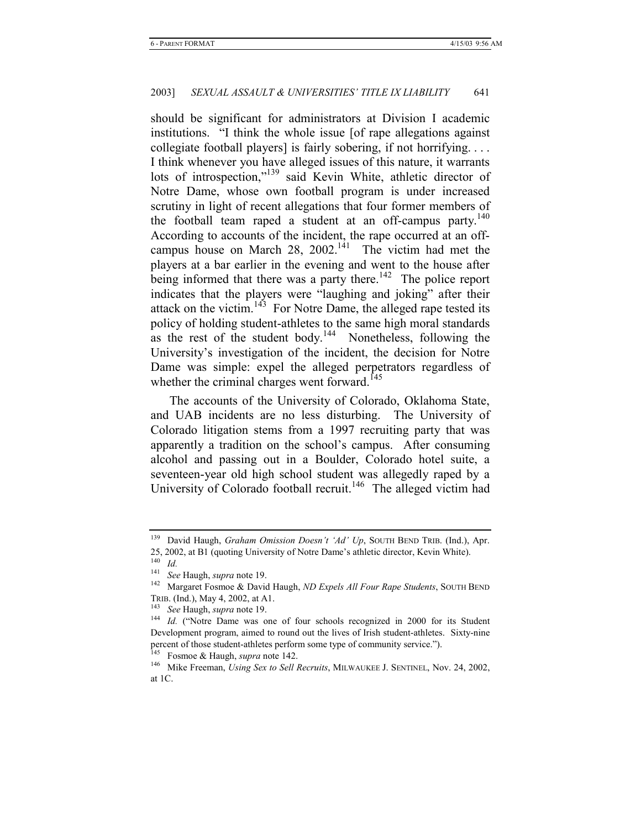should be significant for administrators at Division I academic institutions. "I think the whole issue [of rape allegations against collegiate football players] is fairly sobering, if not horrifying. . . . I think whenever you have alleged issues of this nature, it warrants lots of introspection,"139 said Kevin White, athletic director of Notre Dame, whose own football program is under increased scrutiny in light of recent allegations that four former members of the football team raped a student at an off-campus party.<sup>140</sup> According to accounts of the incident, the rape occurred at an offcampus house on March 28,  $2002$ <sup>141</sup> The victim had met the players at a bar earlier in the evening and went to the house after being informed that there was a party there.<sup>142</sup> The police report indicates that the players were "laughing and joking" after their attack on the victim.<sup>143</sup> For Notre Dame, the alleged rape tested its policy of holding student-athletes to the same high moral standards as the rest of the student body.<sup>144</sup> Nonetheless, following the University's investigation of the incident, the decision for Notre Dame was simple: expel the alleged perpetrators regardless of whether the criminal charges went forward.<sup>145</sup>

The accounts of the University of Colorado, Oklahoma State, and UAB incidents are no less disturbing. The University of Colorado litigation stems from a 1997 recruiting party that was apparently a tradition on the school's campus. After consuming alcohol and passing out in a Boulder, Colorado hotel suite, a seventeen-year old high school student was allegedly raped by a University of Colorado football recruit.<sup>146</sup> The alleged victim had

<sup>&</sup>lt;sup>139</sup> David Haugh, *Graham Omission Doesn't 'Ad' Up*, SOUTH BEND TRIB. (Ind.), Apr. 25, 2002, at B1 (quoting University of Notre Dame's athletic director, Kevin White).

 $\frac{140}{141}$  *Id.* 

<sup>141</sup> *See* Haugh, *supra* note 19. 142 Margaret Fosmoe & David Haugh, *ND Expels All Four Rape Students*, SOUTH BEND

TRIB. (Ind.), May 4, 2002, at A1.<br><sup>143</sup> See Haugh, *supra* note 19.<br><sup>144</sup> *Id.* ("Notre Dame was one of four schools recognized in 2000 for its Student Development program, aimed to round out the lives of Irish student-athletes. Sixty-nine percent of those student-athletes perform some type of community service.").

<sup>&</sup>lt;sup>145</sup> Fosmoe & Haugh, *supra* note 142.<br><sup>146</sup> Mike Freeman, *Using Sex to Sell Recruits*, MILWAUKEE J. SENTINEL, Nov. 24, 2002, at 1C.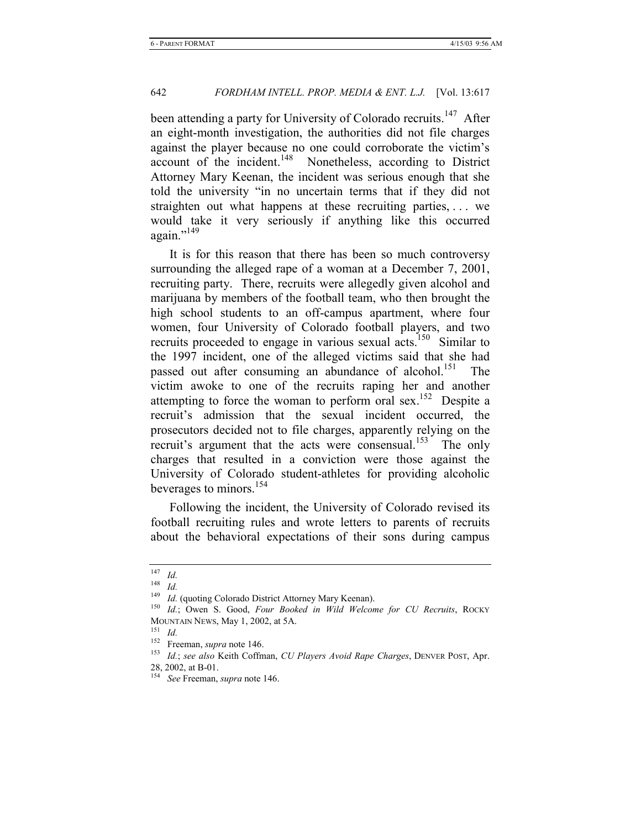been attending a party for University of Colorado recruits.<sup>147</sup> After an eight-month investigation, the authorities did not file charges against the player because no one could corroborate the victim's account of the incident.<sup>148</sup> Nonetheless, according to District Attorney Mary Keenan, the incident was serious enough that she told the university "in no uncertain terms that if they did not straighten out what happens at these recruiting parties, . . . we would take it very seriously if anything like this occurred again."<sup>149</sup>

It is for this reason that there has been so much controversy surrounding the alleged rape of a woman at a December 7, 2001, recruiting party. There, recruits were allegedly given alcohol and marijuana by members of the football team, who then brought the high school students to an off-campus apartment, where four women, four University of Colorado football players, and two recruits proceeded to engage in various sexual acts.<sup>150</sup> Similar to the 1997 incident, one of the alleged victims said that she had passed out after consuming an abundance of alcohol.<sup>151</sup> The victim awoke to one of the recruits raping her and another attempting to force the woman to perform oral sex.<sup>152</sup> Despite a recruit's admission that the sexual incident occurred, the prosecutors decided not to file charges, apparently relying on the recruit's argument that the acts were consensual.<sup>153</sup> The only charges that resulted in a conviction were those against the University of Colorado student-athletes for providing alcoholic beverages to minors.<sup>154</sup>

Following the incident, the University of Colorado revised its football recruiting rules and wrote letters to parents of recruits about the behavioral expectations of their sons during campus

 $\frac{147}{148}$  *Id.* 

<sup>148</sup> *Id.*

<sup>149</sup> *Id.* (quoting Colorado District Attorney Mary Keenan). 150 *Id.*; Owen S. Good, *Four Booked in Wild Welcome for CU Recruits*, ROCKY MOUNTAIN NEWS, May 1, 2002, at 5A. 151 *Id.*

<sup>&</sup>lt;sup>153</sup> Id.; see also Keith Coffman, *CU Players Avoid Rape Charges*, DENVER POST, Apr.

<sup>28, 2002,</sup> at B-01.

<sup>154</sup> *See* Freeman, *supra* note 146.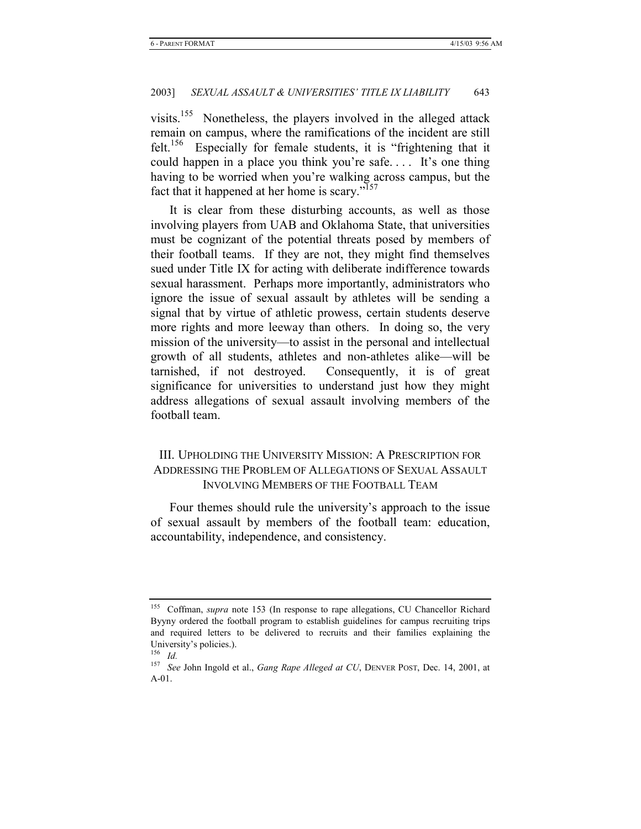visits.155 Nonetheless, the players involved in the alleged attack remain on campus, where the ramifications of the incident are still felt.<sup>156</sup> Especially for female students, it is "frightening that it could happen in a place you think you're safe. . . . It's one thing having to be worried when you're walking across campus, but the fact that it happened at her home is scary."<sup>157</sup>

It is clear from these disturbing accounts, as well as those involving players from UAB and Oklahoma State, that universities must be cognizant of the potential threats posed by members of their football teams. If they are not, they might find themselves sued under Title IX for acting with deliberate indifference towards sexual harassment. Perhaps more importantly, administrators who ignore the issue of sexual assault by athletes will be sending a signal that by virtue of athletic prowess, certain students deserve more rights and more leeway than others. In doing so, the very mission of the university—to assist in the personal and intellectual growth of all students, athletes and non-athletes alike—will be tarnished, if not destroyed. Consequently, it is of great significance for universities to understand just how they might address allegations of sexual assault involving members of the football team.

# III. UPHOLDING THE UNIVERSITY MISSION: A PRESCRIPTION FOR ADDRESSING THE PROBLEM OF ALLEGATIONS OF SEXUAL ASSAULT INVOLVING MEMBERS OF THE FOOTBALL TEAM

Four themes should rule the university's approach to the issue of sexual assault by members of the football team: education, accountability, independence, and consistency.

<sup>155</sup> Coffman, *supra* note 153 (In response to rape allegations, CU Chancellor Richard Byyny ordered the football program to establish guidelines for campus recruiting trips and required letters to be delivered to recruits and their families explaining the University's policies.).

<sup>156</sup> *Id.*

<sup>157</sup> *See* John Ingold et al., *Gang Rape Alleged at CU*, DENVER POST, Dec. 14, 2001, at A-01.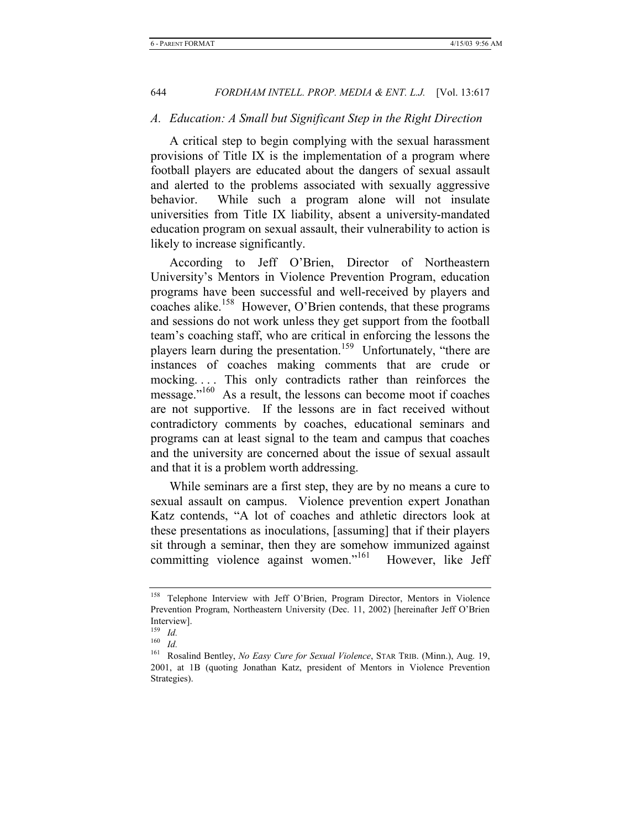#### *A. Education: A Small but Significant Step in the Right Direction*

A critical step to begin complying with the sexual harassment provisions of Title IX is the implementation of a program where football players are educated about the dangers of sexual assault and alerted to the problems associated with sexually aggressive behavior. While such a program alone will not insulate universities from Title IX liability, absent a university-mandated education program on sexual assault, their vulnerability to action is likely to increase significantly.

According to Jeff O'Brien, Director of Northeastern University's Mentors in Violence Prevention Program, education programs have been successful and well-received by players and coaches alike.<sup>158</sup> However, O'Brien contends, that these programs and sessions do not work unless they get support from the football team's coaching staff, who are critical in enforcing the lessons the players learn during the presentation.<sup>159</sup> Unfortunately, "there are instances of coaches making comments that are crude or mocking. . . . This only contradicts rather than reinforces the message."<sup>160</sup> As a result, the lessons can become moot if coaches are not supportive. If the lessons are in fact received without contradictory comments by coaches, educational seminars and programs can at least signal to the team and campus that coaches and the university are concerned about the issue of sexual assault and that it is a problem worth addressing.

While seminars are a first step, they are by no means a cure to sexual assault on campus. Violence prevention expert Jonathan Katz contends, "A lot of coaches and athletic directors look at these presentations as inoculations, [assuming] that if their players sit through a seminar, then they are somehow immunized against committing violence against women."<sup>161</sup> However, like Jeff

<sup>158</sup> Telephone Interview with Jeff O'Brien, Program Director, Mentors in Violence Prevention Program, Northeastern University (Dec. 11, 2002) [hereinafter Jeff O'Brien Interview].

<sup>159</sup> *Id.*

<sup>160</sup> *Id.*

<sup>161</sup> Rosalind Bentley, *No Easy Cure for Sexual Violence*, STAR TRIB. (Minn.), Aug. 19, 2001, at 1B (quoting Jonathan Katz, president of Mentors in Violence Prevention Strategies).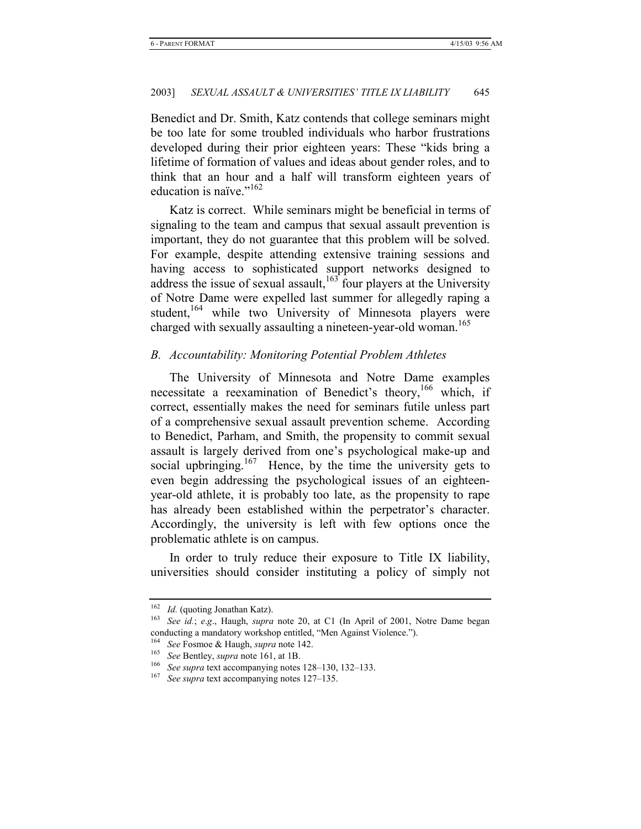Benedict and Dr. Smith, Katz contends that college seminars might be too late for some troubled individuals who harbor frustrations developed during their prior eighteen years: These "kids bring a lifetime of formation of values and ideas about gender roles, and to think that an hour and a half will transform eighteen years of education is naïve."<sup>162</sup>

Katz is correct. While seminars might be beneficial in terms of signaling to the team and campus that sexual assault prevention is important, they do not guarantee that this problem will be solved. For example, despite attending extensive training sessions and having access to sophisticated support networks designed to address the issue of sexual assault, $163$  four players at the University of Notre Dame were expelled last summer for allegedly raping a student,<sup>164</sup> while two University of Minnesota players were charged with sexually assaulting a nineteen-year-old woman.<sup>165</sup>

#### *B. Accountability: Monitoring Potential Problem Athletes*

The University of Minnesota and Notre Dame examples necessitate a reexamination of Benedict's theory,<sup>166</sup> which, if correct, essentially makes the need for seminars futile unless part of a comprehensive sexual assault prevention scheme. According to Benedict, Parham, and Smith, the propensity to commit sexual assault is largely derived from one's psychological make-up and social upbringing.<sup>167</sup> Hence, by the time the university gets to even begin addressing the psychological issues of an eighteenyear-old athlete, it is probably too late, as the propensity to rape has already been established within the perpetrator's character. Accordingly, the university is left with few options once the problematic athlete is on campus.

In order to truly reduce their exposure to Title IX liability, universities should consider instituting a policy of simply not

<sup>162</sup> *Id.* (quoting Jonathan Katz). 163 *See id.*; *e*.*g*., Haugh, *supra* note 20, at C1 (In April of 2001, Notre Dame began conducting a mandatory workshop entitled, "Men Against Violence.").<br><sup>164</sup> See Fosmoe & Haugh, supra note 142.

<sup>&</sup>lt;sup>165</sup> See Bentley, *supra* note 161, at 1B.<br><sup>166</sup> See *supra* text accompanying notes 128–130, 132–133.<br><sup>167</sup> See *supra* text accompanying notes 127–135.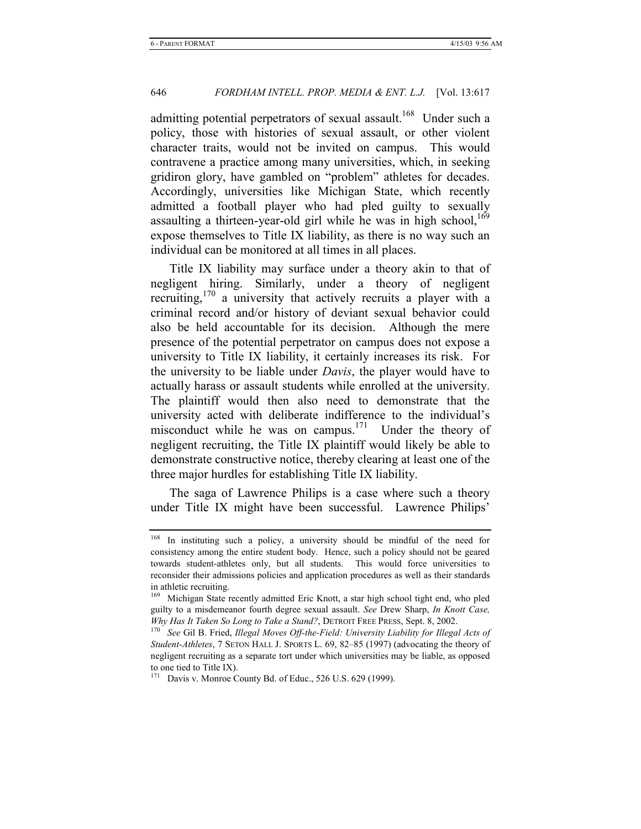admitting potential perpetrators of sexual assault.<sup>168</sup> Under such a policy, those with histories of sexual assault, or other violent character traits, would not be invited on campus. This would contravene a practice among many universities, which, in seeking gridiron glory, have gambled on "problem" athletes for decades. Accordingly, universities like Michigan State, which recently admitted a football player who had pled guilty to sexually assaulting a thirteen-year-old girl while he was in high school,  $169$ expose themselves to Title IX liability, as there is no way such an individual can be monitored at all times in all places.

Title IX liability may surface under a theory akin to that of negligent hiring. Similarly, under a theory of negligent recruiting,  $170$  a university that actively recruits a player with a criminal record and/or history of deviant sexual behavior could also be held accountable for its decision. Although the mere presence of the potential perpetrator on campus does not expose a university to Title IX liability, it certainly increases its risk. For the university to be liable under *Davis*, the player would have to actually harass or assault students while enrolled at the university. The plaintiff would then also need to demonstrate that the university acted with deliberate indifference to the individual's misconduct while he was on campus.<sup>171</sup> Under the theory of negligent recruiting, the Title IX plaintiff would likely be able to demonstrate constructive notice, thereby clearing at least one of the three major hurdles for establishing Title IX liability.

The saga of Lawrence Philips is a case where such a theory under Title IX might have been successful. Lawrence Philips'

<sup>168</sup> In instituting such a policy, a university should be mindful of the need for consistency among the entire student body. Hence, such a policy should not be geared towards student-athletes only, but all students. This would force universities to reconsider their admissions policies and application procedures as well as their standards in athletic recruiting.

<sup>&</sup>lt;sup>169</sup> Michigan State recently admitted Eric Knott, a star high school tight end, who pled guilty to a misdemeanor fourth degree sexual assault. *See* Drew Sharp, *In Knott Case, Why Has It Taken So Long to Take a Stand?*, DETROIT FREE PRESS, Sept. 8, 2002.<br><sup>170</sup> *See* Gil B. Fried, *Illegal Moves Off-the-Field: University Liability for Illegal Acts of* 

*Student-Athletes*, 7 SETON HALL J. SPORTS L. 69, 82–85 (1997) (advocating the theory of negligent recruiting as a separate tort under which universities may be liable, as opposed to one tied to Title IX).

<sup>&</sup>lt;sup>171</sup> Davis v. Monroe County Bd. of Educ., 526 U.S. 629 (1999).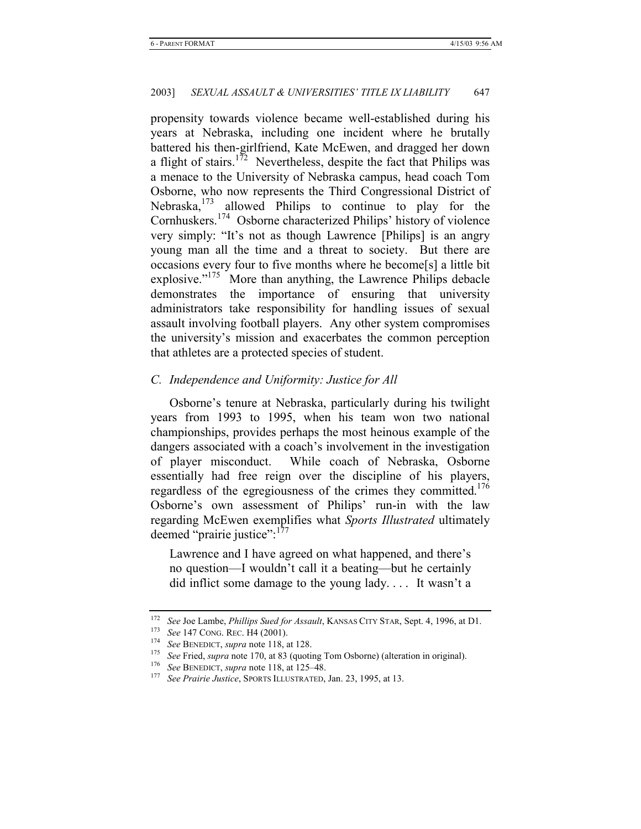propensity towards violence became well-established during his years at Nebraska, including one incident where he brutally battered his then-girlfriend, Kate McEwen, and dragged her down a flight of stairs.<sup>172</sup> Nevertheless, despite the fact that Philips was a menace to the University of Nebraska campus, head coach Tom Osborne, who now represents the Third Congressional District of Nebraska,173 allowed Philips to continue to play for the Cornhuskers.174 Osborne characterized Philips' history of violence very simply: "It's not as though Lawrence [Philips] is an angry young man all the time and a threat to society. But there are occasions every four to five months where he become[s] a little bit explosive."<sup>175</sup> More than anything, the Lawrence Philips debacle demonstrates the importance of ensuring that university administrators take responsibility for handling issues of sexual assault involving football players. Any other system compromises the university's mission and exacerbates the common perception that athletes are a protected species of student.

# *C. Independence and Uniformity: Justice for All*

Osborne's tenure at Nebraska, particularly during his twilight years from 1993 to 1995, when his team won two national championships, provides perhaps the most heinous example of the dangers associated with a coach's involvement in the investigation of player misconduct. While coach of Nebraska, Osborne essentially had free reign over the discipline of his players, regardless of the egregiousness of the crimes they committed.<sup>176</sup> Osborne's own assessment of Philips' run-in with the law regarding McEwen exemplifies what *Sports Illustrated* ultimately deemed "prairie justice":<sup>177</sup>

Lawrence and I have agreed on what happened, and there's no question—I wouldn't call it a beating—but he certainly did inflict some damage to the young lady. . . . It wasn't a

<sup>&</sup>lt;sup>172</sup> See Joe Lambe, *Phillips Sued for Assault*, KANSAS CITY STAR, Sept. 4, 1996, at D1.<br><sup>173</sup> See 147 CONG. REC. H4 (2001).<br><sup>174</sup> See BENEDICT, *supra* note 118, at 128.<br><sup>175</sup> See Fried, *supra* note 170, at 83 (quoting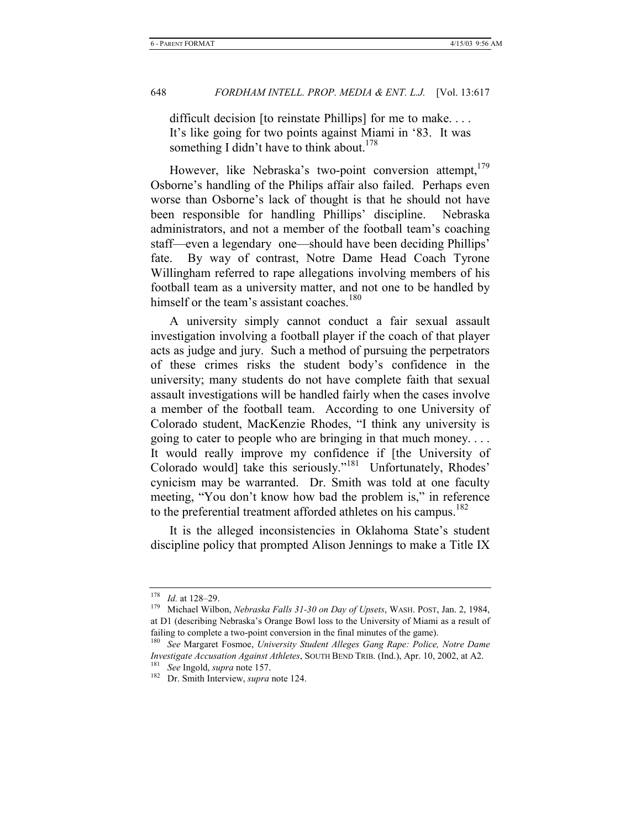difficult decision [to reinstate Phillips] for me to make.... It's like going for two points against Miami in '83. It was something I didn't have to think about.<sup>178</sup>

However, like Nebraska's two-point conversion attempt,<sup>179</sup> Osborne's handling of the Philips affair also failed. Perhaps even worse than Osborne's lack of thought is that he should not have been responsible for handling Phillips' discipline. Nebraska administrators, and not a member of the football team's coaching staff—even a legendary one—should have been deciding Phillips' fate. By way of contrast, Notre Dame Head Coach Tyrone Willingham referred to rape allegations involving members of his football team as a university matter, and not one to be handled by himself or the team's assistant coaches.<sup>180</sup>

A university simply cannot conduct a fair sexual assault investigation involving a football player if the coach of that player acts as judge and jury. Such a method of pursuing the perpetrators of these crimes risks the student body's confidence in the university; many students do not have complete faith that sexual assault investigations will be handled fairly when the cases involve a member of the football team. According to one University of Colorado student, MacKenzie Rhodes, "I think any university is going to cater to people who are bringing in that much money. . . . It would really improve my confidence if [the University of Colorado would] take this seriously."<sup>181</sup> Unfortunately, Rhodes' cynicism may be warranted. Dr. Smith was told at one faculty meeting, "You don't know how bad the problem is," in reference to the preferential treatment afforded athletes on his campus.<sup>182</sup>

It is the alleged inconsistencies in Oklahoma State's student discipline policy that prompted Alison Jennings to make a Title IX

<sup>178</sup> *Id.* at 128–29. 179 Michael Wilbon, *Nebraska Falls 31-30 on Day of Upsets*, WASH. POST, Jan. 2, 1984, at D1 (describing Nebraska's Orange Bowl loss to the University of Miami as a result of failing to complete a two-point conversion in the final minutes of the game).

<sup>180</sup> *See* Margaret Fosmoe, *University Student Alleges Gang Rape: Police, Notre Dame Investigate Accusation Against Athletes*, SOUTH BEND TRIB. (Ind.), Apr. 10, 2002, at A2. 181 *See* Ingold, *supra* note 157. 182 Dr. Smith Interview, *supra* note 124.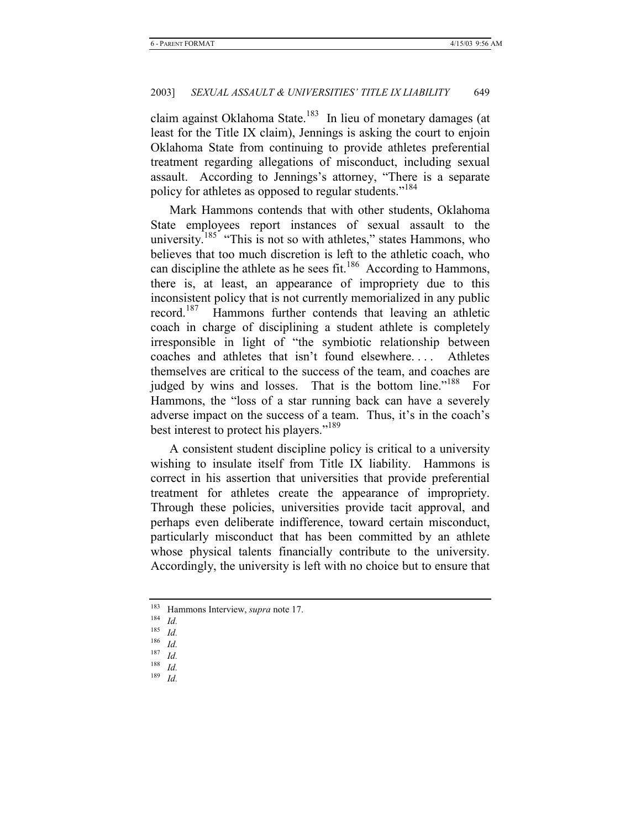claim against Oklahoma State.<sup>183</sup> In lieu of monetary damages (at least for the Title IX claim), Jennings is asking the court to enjoin Oklahoma State from continuing to provide athletes preferential treatment regarding allegations of misconduct, including sexual assault. According to Jennings's attorney, "There is a separate policy for athletes as opposed to regular students."<sup>184</sup>

Mark Hammons contends that with other students, Oklahoma State employees report instances of sexual assault to the university.<sup>185</sup> "This is not so with athletes," states Hammons, who believes that too much discretion is left to the athletic coach, who can discipline the athlete as he sees fit.<sup>186</sup> According to Hammons, there is, at least, an appearance of impropriety due to this inconsistent policy that is not currently memorialized in any public record.187 Hammons further contends that leaving an athletic coach in charge of disciplining a student athlete is completely irresponsible in light of "the symbiotic relationship between coaches and athletes that isn't found elsewhere. . . . Athletes themselves are critical to the success of the team, and coaches are judged by wins and losses. That is the bottom line."<sup>188</sup> For Hammons, the "loss of a star running back can have a severely adverse impact on the success of a team. Thus, it's in the coach's best interest to protect his players."<sup>189</sup>

A consistent student discipline policy is critical to a university wishing to insulate itself from Title IX liability. Hammons is correct in his assertion that universities that provide preferential treatment for athletes create the appearance of impropriety. Through these policies, universities provide tacit approval, and perhaps even deliberate indifference, toward certain misconduct, particularly misconduct that has been committed by an athlete whose physical talents financially contribute to the university. Accordingly, the university is left with no choice but to ensure that

<sup>189</sup> *Id.*

<sup>183</sup> Hammons Interview, *supra* note 17. 184 *Id.*

 $\frac{185}{186}$  *Id.* 

 $\frac{186}{187}$  *Id.* 

 $\frac{187}{188}$  *Id.* 

 $\frac{188}{189}$  *Id.*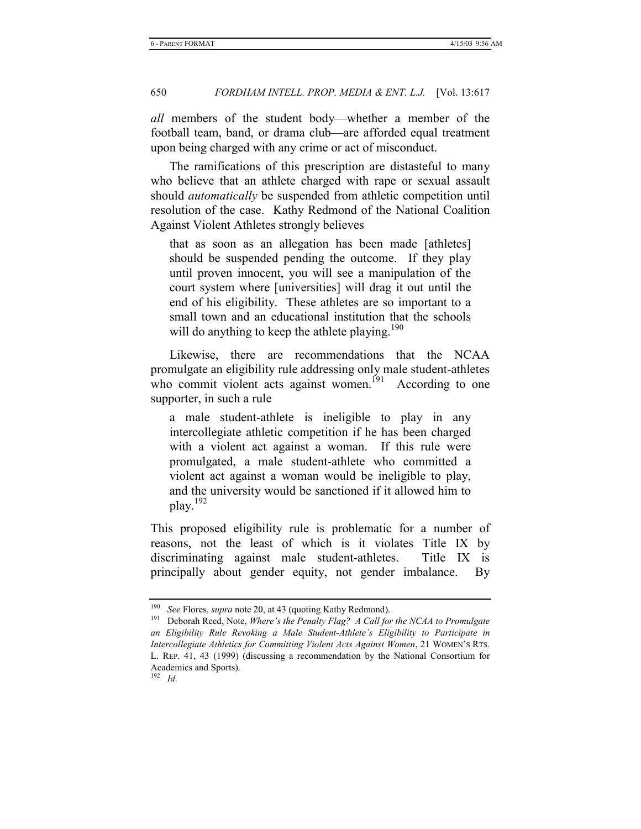*all* members of the student body—whether a member of the football team, band, or drama club—are afforded equal treatment upon being charged with any crime or act of misconduct.

The ramifications of this prescription are distasteful to many who believe that an athlete charged with rape or sexual assault should *automatically* be suspended from athletic competition until resolution of the case. Kathy Redmond of the National Coalition Against Violent Athletes strongly believes

that as soon as an allegation has been made [athletes] should be suspended pending the outcome. If they play until proven innocent, you will see a manipulation of the court system where [universities] will drag it out until the end of his eligibility. These athletes are so important to a small town and an educational institution that the schools will do anything to keep the athlete playing.<sup>190</sup>

Likewise, there are recommendations that the NCAA promulgate an eligibility rule addressing only male student-athletes who commit violent acts against women.<sup>191</sup> According to one supporter, in such a rule

a male student-athlete is ineligible to play in any intercollegiate athletic competition if he has been charged with a violent act against a woman. If this rule were promulgated, a male student-athlete who committed a violent act against a woman would be ineligible to play, and the university would be sanctioned if it allowed him to play.<sup>192</sup>

This proposed eligibility rule is problematic for a number of reasons, not the least of which is it violates Title IX by discriminating against male student-athletes. Title IX is principally about gender equity, not gender imbalance. By

<sup>190</sup> *See* Flores, *supra* note 20, at 43 (quoting Kathy Redmond). 191 Deborah Reed, Note, *Where's the Penalty Flag? A Call for the NCAA to Promulgate an Eligibility Rule Revoking a Male Student-Athlete's Eligibility to Participate in Intercollegiate Athletics for Committing Violent Acts Against Women*, 21 WOMEN'S RTS. L. REP. 41, 43 (1999) (discussing a recommendation by the National Consortium for Academics and Sports).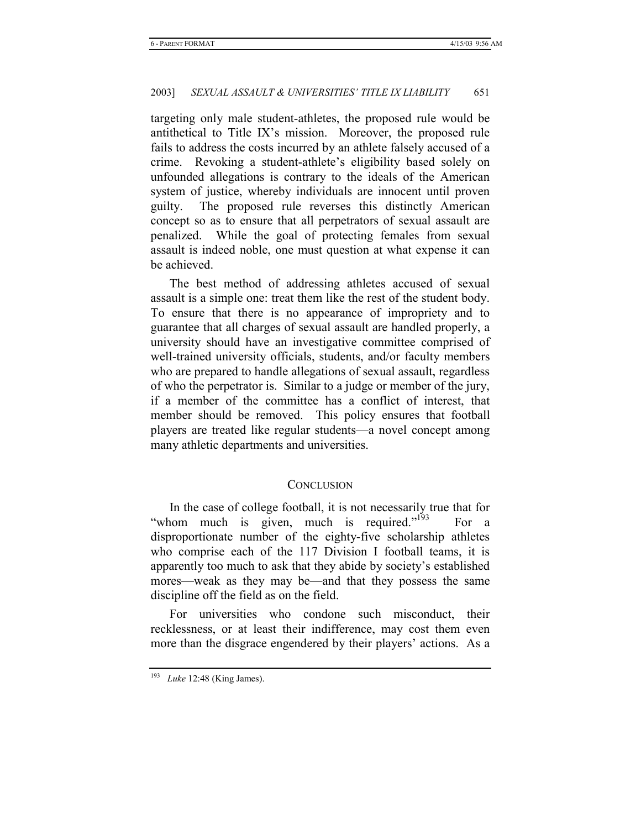targeting only male student-athletes, the proposed rule would be antithetical to Title IX's mission. Moreover, the proposed rule fails to address the costs incurred by an athlete falsely accused of a crime. Revoking a student-athlete's eligibility based solely on unfounded allegations is contrary to the ideals of the American system of justice, whereby individuals are innocent until proven guilty. The proposed rule reverses this distinctly American concept so as to ensure that all perpetrators of sexual assault are penalized. While the goal of protecting females from sexual assault is indeed noble, one must question at what expense it can be achieved.

The best method of addressing athletes accused of sexual assault is a simple one: treat them like the rest of the student body. To ensure that there is no appearance of impropriety and to guarantee that all charges of sexual assault are handled properly, a university should have an investigative committee comprised of well-trained university officials, students, and/or faculty members who are prepared to handle allegations of sexual assault, regardless of who the perpetrator is. Similar to a judge or member of the jury, if a member of the committee has a conflict of interest, that member should be removed. This policy ensures that football players are treated like regular students—a novel concept among many athletic departments and universities.

# **CONCLUSION**

In the case of college football, it is not necessarily true that for "whom much is given, much is required."<sup>193</sup> For a disproportionate number of the eighty-five scholarship athletes who comprise each of the 117 Division I football teams, it is apparently too much to ask that they abide by society's established mores—weak as they may be—and that they possess the same discipline off the field as on the field.

For universities who condone such misconduct, their recklessness, or at least their indifference, may cost them even more than the disgrace engendered by their players' actions. As a

<sup>193</sup> *Luke* 12:48 (King James).